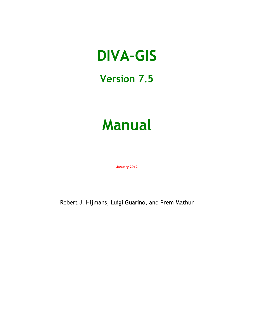# **Version 7.5**

# **Manual**

**January 2012**

Robert J. Hijmans, Luigi Guarino, and Prem Mathur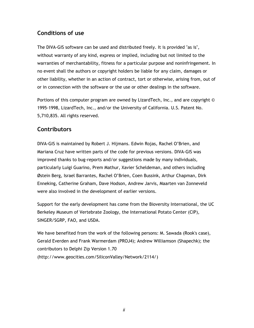#### **Conditions of use**

The DIVA-GIS software can be used and distributed freely. It is provided "as is", without warranty of any kind, express or implied, including but not limited to the warranties of merchantability, fitness for a particular purpose and noninfringement. In no event shall the authors or copyright holders be liable for any claim, damages or other liability, whether in an action of contract, tort or otherwise, arising from, out of or in connection with the software or the use or other dealings in the software.

Portions of this computer program are owned by LizardTech, Inc., and are copyright © 1995-1998, LizardTech, Inc., and/or the University of California. U.S. Patent No. 5,710,835. All rights reserved.

# **Contributors**

DIVA-GIS is maintained by Robert J. Hijmans. Edwin Rojas, Rachel O"Brien, and Mariana Cruz have written parts of the code for previous versions. DIVA-GIS was improved thanks to bug-reports and/or suggestions made by many individuals, particularly Luigi Guarino, Prem Mathur, Xavier Scheldeman, and others including Østein Berg, Israel Barrantes, Rachel O"Brien, Coen Bussink, Arthur Chapman, Dirk Enneking, Catherine Graham, Dave Hodson, Andrew Jarvis, Maarten van Zonneveld were also involved in the development of earlier versions.

Support for the early development has come from the Bioversity International, the UC Berkeley Museum of Vertebrate Zoology, the International Potato Center (CIP), SINGER/SGRP, FAO, and USDA.

We have benefited from the work of the following persons: M. Sawada (Rook's case), Gerald Everden and Frank Warmerdam (PROJ4); Andrew Williamson (Shapechk); the contributors to Delphi Zip Version 1.70 [\(http://www.geocities.com/SiliconValley/Network/2114/\)](http://www.geocities.com/SiliconValley/Network/2114/)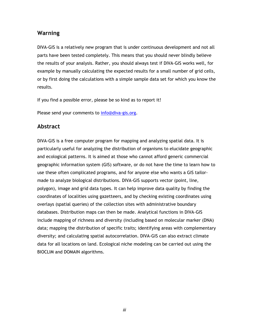#### **Warning**

DIVA-GIS is a relatively new program that is under continuous development and not all parts have been tested completely. This means that you should never blindly believe the results of your analysis. Rather, you should always test if DIVA-GIS works well, for example by manually calculating the expected results for a small number of grid cells, or by first doing the calculations with a simple sample data set for which you know the results.

If you find a possible error, please be so kind as to report it!

Please send your comments to [info@diva-gis.org.](mailto:info@diva-gis.org)

#### **Abstract**

DIVA-GIS is a free computer program for mapping and analyzing spatial data. It is particularly useful for analyzing the distribution of organisms to elucidate geographic and ecological patterns. It is aimed at those who cannot afford generic commercial geographic information system (GIS) software, or do not have the time to learn how to use these often complicated programs, and for anyone else who wants a GIS tailormade to analyze biological distributions. DIVA-GIS supports vector (point, line, polygon), image and grid data types. It can help improve data quality by finding the coordinates of localities using gazetteers, and by checking existing coordinates using overlays (spatial queries) of the collection sites with administrative boundary databases. Distribution maps can then be made. Analytical functions in DIVA-GIS include mapping of richness and diversity (including based on molecular marker (DNA) data; mapping the distribution of specific traits; identifying areas with complementary diversity; and calculating spatial autocorrelation. DIVA-GIS can also extract climate data for all locations on land. Ecological niche modeling can be carried out using the BIOCLIM and DOMAIN algorithms.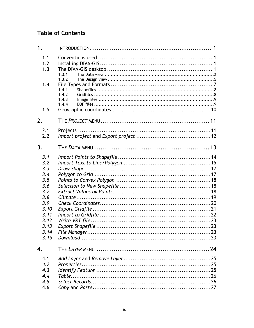# **Table of Contents**

| 1.3.1                                                                                                                                                |       |
|------------------------------------------------------------------------------------------------------------------------------------------------------|-------|
| 1.4.1<br>1.4.2<br>1.4.3<br>1.4.4                                                                                                                     |       |
|                                                                                                                                                      |       |
|                                                                                                                                                      |       |
|                                                                                                                                                      |       |
|                                                                                                                                                      |       |
| THE DATA MENU $\ldots$ $\ldots$ $\ldots$ $\ldots$ $\ldots$ $\ldots$ $\ldots$ $\ldots$ $\ldots$ $\ldots$ $\ldots$ $\ldots$ $\ldots$ $\ldots$ $\vdots$ |       |
|                                                                                                                                                      |       |
|                                                                                                                                                      |       |
|                                                                                                                                                      |       |
|                                                                                                                                                      |       |
|                                                                                                                                                      |       |
|                                                                                                                                                      |       |
|                                                                                                                                                      |       |
|                                                                                                                                                      |       |
|                                                                                                                                                      |       |
|                                                                                                                                                      |       |
|                                                                                                                                                      |       |
|                                                                                                                                                      |       |
|                                                                                                                                                      |       |
|                                                                                                                                                      |       |
|                                                                                                                                                      |       |
|                                                                                                                                                      |       |
|                                                                                                                                                      |       |
|                                                                                                                                                      |       |
|                                                                                                                                                      |       |
|                                                                                                                                                      |       |
|                                                                                                                                                      |       |
|                                                                                                                                                      | 1.3.2 |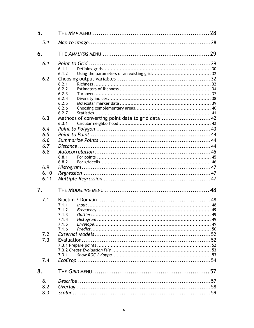| 5.   |                                                  |  |
|------|--------------------------------------------------|--|
| 5.1  |                                                  |  |
| 6.   |                                                  |  |
| 6.1  |                                                  |  |
|      | 6.1.1                                            |  |
|      | 6.1.2                                            |  |
| 6.2  |                                                  |  |
|      | 6.2.1                                            |  |
|      | 6.2.2                                            |  |
|      | 6.2.3                                            |  |
|      | 6.2.4                                            |  |
|      | 6.2.5                                            |  |
|      | 6.2.6                                            |  |
|      | 6.2.7                                            |  |
| 6.3  | Methods of converting point data to grid data 42 |  |
|      | 6.3.1                                            |  |
| 6.4  |                                                  |  |
| 6.5  |                                                  |  |
| 6.6  |                                                  |  |
| 6.7  |                                                  |  |
| 6.8  |                                                  |  |
|      | 6.8.1                                            |  |
|      | 6.8.2                                            |  |
| 6.9  |                                                  |  |
| 6.10 |                                                  |  |
| 6.11 |                                                  |  |
| 7.   |                                                  |  |
| 7.1  |                                                  |  |
|      | 7.1.1                                            |  |
|      | 7.1.2                                            |  |
|      | 7.1.3                                            |  |
|      | 7.1.4                                            |  |
|      | 7.1.5                                            |  |
|      | 7.1.6                                            |  |
| 7.2  |                                                  |  |
| 7.3  |                                                  |  |
|      |                                                  |  |
|      |                                                  |  |
|      | 7.3.1                                            |  |
| 7.4  |                                                  |  |
| 8.   |                                                  |  |
| 8.1  |                                                  |  |
| 8.2  |                                                  |  |
| 8.3  |                                                  |  |
|      |                                                  |  |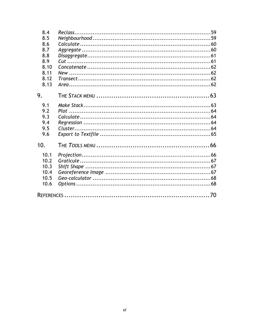| 8.4  |  |
|------|--|
| 8.5  |  |
| 8.6  |  |
| 8.7  |  |
| 8.8  |  |
| 8.9  |  |
| 8.10 |  |
| 8.11 |  |
| 8.12 |  |
| 8.13 |  |
| 9.   |  |
| 9.1  |  |
| 9.2  |  |
| 9.3  |  |
| 9.4  |  |
| 9.5  |  |
| 9.6  |  |
| 10.  |  |
| 10.1 |  |
| 10.2 |  |
| 10.3 |  |
| 10.4 |  |
| 10.5 |  |
| 10.6 |  |
|      |  |
|      |  |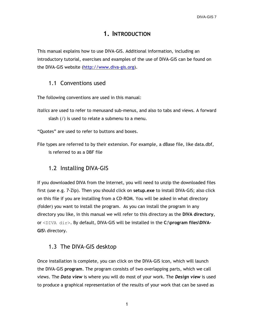# **1. INTRODUCTION**

<span id="page-6-0"></span>This manual explains how to use DIVA-GIS. Additional information, including an introductory tutorial, exercises and examples of the use of DIVA-GIS can be found on the DIVA-GIS website [\(http://www.diva-gis.org\)](http://www.diva-gis.org/).

#### <span id="page-6-1"></span>1.1 Conventions used

The following conventions are used in this manual:

*Italics* are used to refer to menusand sub-menus, and also to tabs and views. A forward slash (/) is used to relate a submenu to a menu.

"Quotes" are used to refer to buttons and boxes.

File types are referred to by their extension. For example, a dBase file, like data.dbf, is referred to as a DBF file

#### <span id="page-6-2"></span>1.2 Installing DIVA-GIS

If you downloaded DIVA from the Internet, you will need to unzip the downloaded files first (use e.g. 7-Zip). Then you should click on **setup.exe** to install DIVA-GIS; also click on this file if you are installing from a CD-ROM. You will be asked in what directory (folder) you want to install the program. As you can install the program in any directory you like, in this manual we will refer to this directory as the **DIVA directory**, or <DIVA dir>. By default, DIVA-GIS will be installed in the **C:\program files\DIVA-GIS\** directory.

#### <span id="page-6-3"></span>1.3 The DIVA-GIS desktop

Once installation is complete, you can click on the DIVA-GIS icon, which will launch the DIVA-GIS **program**. The program consists of two overlapping parts, which we call *views*. The *Data view* is where you will do most of your work. The *Design view* is used to produce a graphical representation of the results of your work that can be saved as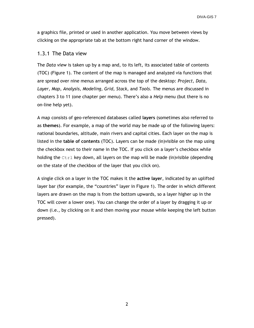a graphics file, printed or used in another application. You move between views by clicking on the appropriate tab at the bottom right hand corner of the window.

#### <span id="page-7-0"></span>1.3.1 The Data view

The *Data view* is taken up by a map and, to its left, its associated table of contents (TOC) (Figure 1). The content of the map is managed and analyzed via functions that are spread over nine menus arranged across the top of the desktop: *Project, Data, Layer, Map, Analysis, Modeling, Grid, Stack,* and *Tools*. The menus are discussed in chapters 3 to 11 (one chapter per menu). There"s also a *Help* menu (but there is no on-line help yet).

A map consists of geo-referenced databases called **layers** (sometimes also referred to as **themes**). For example, a map of the world may be made up of the following layers: national boundaries, altitude, main rivers and capital cities. Each layer on the map is listed in the **table of contents** (TOC). Layers can be made (in)visible on the map using the checkbox next to their name in the TOC. If you click on a layer"s checkbox while holding the  $Ctr1$  key down, all layers on the map will be made (in)visible (depending on the state of the checkbox of the layer that you click on).

A single click on a layer in the TOC makes it the **active layer**, indicated by an uplifted layer bar (for example, the "countries" layer in Figure 1). The order in which different layers are drawn on the map is from the bottom upwards, so a layer higher up in the TOC will cover a lower one). You can change the order of a layer by dragging it up or down (i.e., by clicking on it and then moving your mouse while keeping the left button pressed).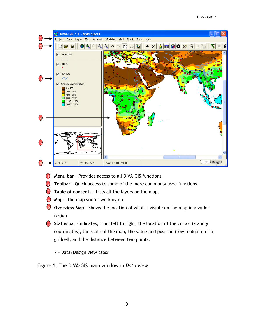

- **Menu bar** Provides access to all DIVA-GIS functions.  $\overline{1}$
- **Toolbar** Quick access to some of the more commonly used functions. 2
- **3** Table of contents Lists all the layers on the map.
- **Map**  The map you"re working on. 4
- **J** Overview Map Shows the location of what is visible on the map in a wider region
- **Status bar** –Indicates, from left to right, the location of the cursor (x and y 6coordinates), the scale of the map, the value and position (row, column) of a gridcell, and the distance between two points.
	- **7**  Data/Design view tabs?

Figure 1. The DIVA-GIS main window in *Data view*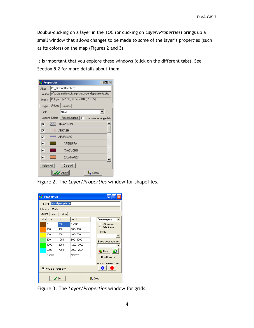Double-clicking on a layer in the TOC (or clicking on *Layer*/*Properties*) brings up a small window that allows changes to be made to some of the layer"s properties (such as its colors) on the map (Figures 2 and 3).

It is important that you explore these windows (click on the different tabs). See Section 5.2 for more details about them.

| <b>NC</b> Properties |                                                             | $-$ Inl $\times$ |  |
|----------------------|-------------------------------------------------------------|------------------|--|
| Alias :              | PE_DEPARTMENTS                                              |                  |  |
|                      | Source : c:\program files\diva-gis\tutor\pe_departments.shp |                  |  |
| Type:                | Polygon (-81.33, -0.04, -68.65, -18.35)                     |                  |  |
| Single               | Unique   Classes                                            |                  |  |
| Field:               | <b>NAME</b>                                                 |                  |  |
|                      | Legend Colors : Reset Legend   I Use color of single tab    |                  |  |
| ☞                    | <b>AMAZONAS</b>                                             |                  |  |
| ⊽                    | <b>ANCASH</b><br>╫┿┿╫                                       |                  |  |
| ⊽                    | <b>APURIMAC</b>                                             |                  |  |
| ⊽                    | AREQUIPA                                                    |                  |  |
| ⊽                    | <b>AYACUCHO</b>                                             |                  |  |
| ঢ়                   | <b>CAJAMARCA</b>                                            |                  |  |
| Select All           | Clear All                                                   |                  |  |
|                      | <b>Apply</b><br>叫 Close                                     |                  |  |

Figure 2. The *Layer/Properties* window for shapefiles.

| œ                                   | <b>Properties</b> |                      |               |                         |
|-------------------------------------|-------------------|----------------------|---------------|-------------------------|
|                                     | Label             | Annual precipitation |               |                         |
|                                     | Filename rain.grd |                      |               |                         |
| Legend                              | Info              | History              |               |                         |
|                                     | Color From        | Tη                   | Label         | Auto complete           |
|                                     | n                 | 200                  | $0 - 200$     | C Edit values           |
|                                     | 200               | 400                  | $200 - 400$   | Select rows<br>Classify |
|                                     | 400               | 800                  | $400 - 800$   |                         |
|                                     | 800               | 1200                 | $800 - 1200$  | Select color scheme     |
|                                     | 1200              | 2000                 | $1200 - 2000$ |                         |
|                                     | 2000              | 7694                 | 2000 - 7694   | O<br><b>C</b> Ramp      |
|                                     | Nodata            |                      | NoData        | Read From File          |
|                                     |                   |                      |               |                         |
| Add or Remove Row<br>æ              |                   |                      |               |                         |
| V NoData Transparent                |                   |                      |               |                         |
| $\mathbf{\mathbb{L}}$ Close<br>' σκ |                   |                      |               |                         |

Figure 3. The *Layer/Properties* window for grids.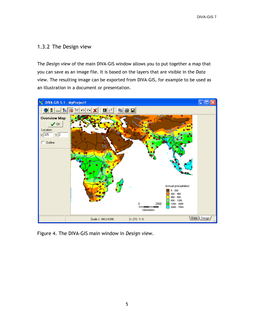#### <span id="page-10-0"></span>1.3.2 The Design view

The *Design view* of the main DIVA-GIS window allows you to put together a map that you can save as an image file. It is based on the layers that are visible in the *Data view*. The resulting image can be exported from DIVA-GIS, for example to be used as an illustration in a document or presentation.



Figure 4. The DIVA-GIS main window in *Design view*.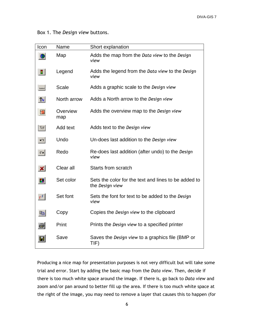Box 1. The *Design view* buttons.

| Icon                         | Name            | Short explanation                                                       |
|------------------------------|-----------------|-------------------------------------------------------------------------|
|                              | Map             | Adds the map from the Data view to the Design<br>view                   |
| 립                            | Legend          | Adds the legend from the Data view to the Design<br>view                |
| انتب                         | <b>Scale</b>    | Adds a graphic scale to the Design view                                 |
| $\left  \mathcal{L} \right $ | North arrow     | Adds a North arrow to the Design view                                   |
| 國                            | Overview<br>map | Adds the overview map to the Design view                                |
| फ्रा                         | Add text        | Adds text to the Design view                                            |
| ທ∣                           | Undo            | Un-does last addition to the Design view                                |
| $\sim$                       | Redo            | Re-does last addition (after undo) to the Design<br>view                |
| $\vert x \vert$              | Clear all       | <b>Starts from scratch</b>                                              |
| H                            | Set color       | Sets the color for the text and lines to be added to<br>the Design view |
| $F^{f}$                      | Set font        | Sets the font for text to be added to the Design<br>view                |
| 剛                            | Copy            | Copies the Design view to the clipboard                                 |
| ョ                            | Print           | Prints the Design view to a specified printer                           |
|                              | Save            | Saves the Design view to a graphics file (BMP or<br>TIF)                |

Producing a nice map for presentation purposes is not very difficult but will take some trial and error. Start by adding the basic map from the *Data view*. Then, decide if there is too much white space around the image. If there is, go back to *Data view* and zoom and/or pan around to better fill up the area. If there is too much white space at the right of the image, you may need to remove a layer that causes this to happen (for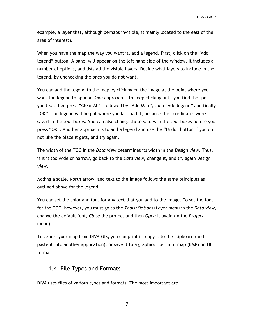example, a layer that, although perhaps invisible, is mainly located to the east of the area of interest).

When you have the map the way you want it, add a legend. First, click on the "Add legend" button. A panel will appear on the left hand side of the window. It includes a number of options, and lists all the visible layers. Decide what layers to include in the legend, by unchecking the ones you do not want.

You can add the legend to the map by clicking on the image at the point where you want the legend to appear. One approach is to keep clicking until you find the spot you like; then press "Clear All*",* followed by "Add Map*"*, then "Add legend*"* and finally "OK". The legend will be put where you last had it, because the coordinates were saved in the text boxes. You can also change these values in the text boxes before you press "OK". Another approach is to add a legend and use the "Undo" button if you do not like the place it gets, and try again.

The width of the TOC in the *Data view* determines its width in the *Design view*. Thus, if it is too wide or narrow, go back to the *Data view,* change it, and try again Design *view*.

Adding a scale, North arrow, and text to the image follows the same principles as outlined above for the legend.

You can set the color and font for any text that you add to the image. To set the font for the TOC, however, you must go to the *Tools/Options/Layer* menu in the *Data view*, change the default font, *Close* the project and then *Open* it again (in the *Project* menu).

To export your map from DIVA-GIS, you can print it, copy it to the clipboard (and paste it into another application), or save it to a graphics file, in bitmap (BMP) or TIF format.

#### <span id="page-12-0"></span>1.4 File Types and Formats

DIVA uses files of various types and formats. The most important are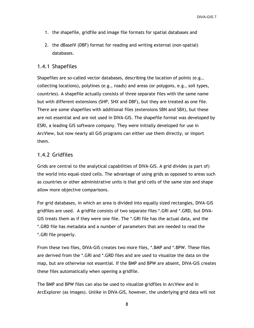- 1. the shapefile, gridfile and image file formats for spatial databases and
- 2. the dBaseIV (DBF) format for reading and writing external (non-spatial) databases.

#### <span id="page-13-0"></span>1.4.1 Shapefiles

Shapefiles are so-called vector databases, describing the location of points (e.g., collecting locations), polylines (e.g., roads) and areas (or polygons, e.g., soil types, countries). A shapefile actually consists of three separate files with the same name but with different extensions (SHP, SHX and DBF), but they are treated as one file. There are some shapefiles with additional files (extensions SBN and SBX), but these are not essential and are not used in DIVA-GIS. The shapefile format was developed by ESRI, a leading GIS software company. They were initially developed for use in ArcView, but now nearly all GIS programs can either use them directly, or import them.

#### <span id="page-13-1"></span>1.4.2 Gridfiles

Grids are central to the analytical capabilities of DIVA-GIS. A grid divides (a part of) the world into equal-sized cells. The advantage of using grids as opposed to areas such as countries or other administrative units is that grid cells of the same size and shape allow more objective comparisons.

For grid databases, in which an area is divided into equally sized rectangles, DIVA-GIS gridfiles are used. A gridfile consists of two separate files \*.GRI and \*.GRD, but DIVA-GIS treats them as if they were one file. The \*.GRI file has the actual data, and the \*.GRD file has metadata and a number of parameters that are needed to read the \*.GRI file properly.

From these two files, DIVA-GIS creates two more files, \*.BMP and \*.BPW. These files are derived from the \*.GRI and \*.GRD files and are used to visualize the data on the map, but are otherwise not essential. If the BMP and BPW are absent, DIVA-GIS creates these files automatically when opening a gridfile.

The BMP and BPW files can also be used to visualize gridfiles in ArcView and in ArcExplorer (as images). Unlike in DIVA-GIS, however, the underlying grid data will not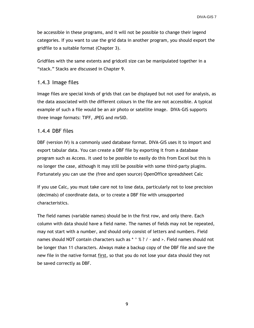be accessible in these programs, and it will not be possible to change their legend categories. If you want to use the grid data in another program, you should export the gridfile to a suitable format (Chapter 3).

Gridfiles with the same extents and gridcell size can be manipulated together in a "stack." Stacks are discussed in Chapter 9.

#### <span id="page-14-0"></span>1.4.3 Image files

Image files are special kinds of grids that can be displayed but not used for analysis, as the data associated with the different colours in the file are not accessible. A typical example of such a file would be an air photo or satellite image. DIVA-GIS supports three image formats: TIFF, JPEG and mrSID.

#### <span id="page-14-1"></span>1.4.4 DBF files

DBF (version IV) is a commonly used database format. DIVA-GIS uses it to import and export tabular data. You can create a DBF file by exporting it from a database program such as Access. It used to be possible to easily do this from Excel but this is no longer the case, although it may still be possible with some third-party plugins. Fortunately you can use the (free and open source) OpenOffice spreadsheet Calc

If you use Calc, you must take care not to lose data, particularly not to lose precision (decimals) of coordinate data, or to create a DBF file with unsupported characteristics.

The field names (variable names) should be in the first row, and only there. Each column with data should have a field name. The names of fields may not be repeated, may not start with a number, and should only consist of letters and numbers. Field names should NOT contain characters such as \* ^ % ? / - and >. Field names should not be longer than 11 characters. Always make a backup copy of the DBF file and save the new file in the native format first, so that you do not lose your data should they not be saved correctly as DBF.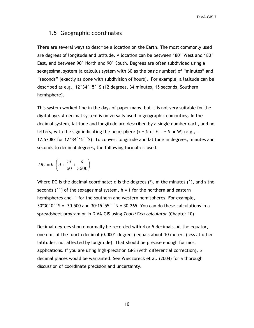#### <span id="page-15-0"></span>1.5 Geographic coordinates

There are several ways to describe a location on the Earth. The most commonly used are degrees of longitude and latitude. A location can be between 180° West and 180° East, and between 90° North and 90° South. Degrees are often subdivided using a sexagesimal system (a calculus system with 60 as the basic number) of "minutes" and "seconds" (exactly as done with subdivision of hours). For example, a latitude can be described as e.g., 12°34´15´´S (12 degrees, 34 minutes, 15 seconds, Southern hemisphere).

This system worked fine in the days of paper maps, but it is not very suitable for the digital age. A decimal system is universally used in geographic computing. In the decimal system, latitude and longitude are described by a single number each, and no letters, with the sign indicating the hemisphere  $(+ = N \text{ or } E, - = S \text{ or } W)$  (e.g., -12.57083 for 12°34´15´´S). To convert longitude and latitude in degrees, minutes and seconds to decimal degrees, the following formula is used:

$$
DC = h \cdot \left( d + \frac{m}{60} + \frac{s}{3600} \right)
$$

Where DC is the decimal coordinate; d is the degrees  $(°)$ , m the minutes  $(′)$ , and s the seconds  $('')$  of the sexagesimal system,  $h = 1$  for the northern and eastern hemispheres and -1 for the southern and western hemispheres. For example,  $30^{\circ}30'0'$   $\zeta$  = -30.500 and 30°15 $\zeta$  55  $\zeta$  N = 30.265. You can do these calculations in a spreadsheet program or in DIVA-GIS using *Tools/Geo-calculator* (Chapter 10).

Decimal degrees should normally be recorded with 4 or 5 decimals. At the equator, one unit of the fourth decimal (0.0001 degrees) equals about 10 meters (less at other latitudes; not affected by longitude). That should be precise enough for most applications. If you are using high-precision GPS (with differential correction), 5 decimal places would be warranted. See Wieczoreck et al. (2004) for a thorough discussion of coordinate precision and uncertainty.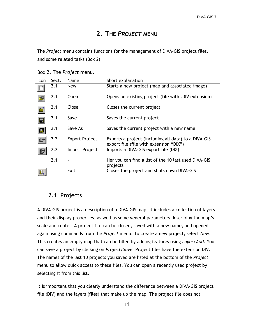# **2. THE** *PROJECT* **MENU**

<span id="page-16-0"></span>The *Project* menu contains functions for the management of DIVA-GIS project files, and some related tasks (Box 2).

Box 2. The *Project* menu.

| Icon           | Sect. | Name                  | Short explanation                                                                               |
|----------------|-------|-----------------------|-------------------------------------------------------------------------------------------------|
|                | 2.1   | <b>New</b>            | Starts a new project (map and associated image)                                                 |
| ć              | 2.1   | Open                  | Opens an existing project (file with .DIV extension)                                            |
|                | 2.1   | Close                 | Closes the current project                                                                      |
| $\blacksquare$ | 2.1   | Save                  | Saves the current project                                                                       |
| П              | 2.1   | Save As               | Saves the current project with a new name                                                       |
|                | 2.2   | <b>Export Project</b> | Exports a project (including all data) to a DIVA-GIS<br>export file (file with extension "DIX") |
|                | 2.2   | Import Project        | Imports a DIVA-GIS export file (DIX)                                                            |
|                | 2.1   |                       | Her you can find a list of the 10 last used DIVA-GIS<br>projects                                |
|                |       | Exit                  | Closes the project and shuts down DIVA-GIS                                                      |

# <span id="page-16-1"></span>2.1 Projects

A DIVA-GIS project is a description of a DIVA-GIS map: it includes a collection of layers and their display properties, as well as some general parameters describing the map"s scale and center. A project file can be closed, saved with a new name, and opened again using commands from the *Project* menu. To create a new project, select *New*. This creates an empty map that can be filled by adding features using *Layer/Add*. You can save a project by clicking on *Project/Save*. Project files have the extension DIV. The names of the last 10 projects you saved are listed at the bottom of the *Project* menu to allow quick access to these files. You can open a recently used project by selecting it from this list.

It is important that you clearly understand the difference between a DIVA-GIS project file (DIV) and the layers (files) that make up the map. The project file does not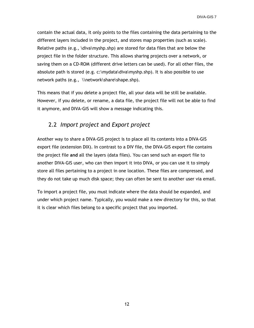contain the actual data, it only points to the files containing the data pertaining to the different layers included in the project, and stores map properties (such as scale). Relative paths (e.g.,  $\div \$ diva $\mp$ shp) are stored for data files that are below the project file in the folder structure. This allows sharing projects over a network, or saving them on a CD-ROM (different drive letters can be used). For all other files, the absolute path is stored (e.g. c:\mydata\diva\myshp.shp). It is also possible to use network paths (e.g., \\network\share\shape.shp).

This means that if you delete a project file, all your data will be still be available. However, if you delete, or rename, a data file, the project file will not be able to find it anymore, and DIVA-GIS will show a message indicating this.

#### <span id="page-17-0"></span>2.2 *Import project* and *Export project*

Another way to share a DIVA-GIS project is to place all its contents into a DIVA-GIS export file (extension DIX). In contrast to a DIV file, the DIVA-GIS export file contains the project file **and** all the layers (data files). You can send such an export file to another DIVA-GIS user, who can then import it into DIVA, or you can use it to simply store all files pertaining to a project in one location. These files are compressed, and they do not take up much disk space; they can often be sent to another user via email.

To import a project file, you must indicate where the data should be expanded, and under which project name. Typically, you would make a new directory for this, so that it is clear which files belong to a specific project that you imported.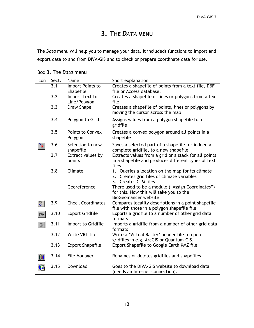# **3. THE** *DATA* **MENU**

<span id="page-18-0"></span>The *Data* menu will help you to manage your data. It includeds functions to import and export data to and from DIVA-GIS and to check or prepare coordinate data for use.

| Icon          | Sect. | Name                          | Short explanation                                                                                  |
|---------------|-------|-------------------------------|----------------------------------------------------------------------------------------------------|
|               | 3.1   | Import Points to              | Creates a shapefile of points from a text file, DBF                                                |
|               |       | Shapefile                     | file or Access database.                                                                           |
|               | 3.2   | Import Text to                | Creates a shapefile of lines or polygons from a text                                               |
|               |       | Line/Polygon                  | file.                                                                                              |
|               | 3.3   | <b>Draw Shape</b>             | Creates a shapefile of points, lines or polygons by                                                |
|               |       |                               | moving the cursor across the map                                                                   |
|               | 3.4   | Polygon to Grid               | Assigns values from a polygon shapefile to a<br>gridfile                                           |
|               | 3.5   | <b>Points to Convex</b>       | Creates a convex polygon around all points in a                                                    |
|               |       | Polygon                       | shapefile                                                                                          |
|               | 3.6   | Selection to new<br>shapefile | Saves a selected part of a shapefile, or indeed a<br>complete gridfile, to a new shapefile         |
|               | 3.7   | Extract values by             | Extracts values from a grid or a stack for all points                                              |
|               |       | points                        | in a shapefile and produces different types of text                                                |
|               |       |                               | files                                                                                              |
|               | 3.8   | Climate                       | 1. Queries a location on the map for its climate                                                   |
|               |       |                               | 2. Creates grid files of climate variables                                                         |
|               |       |                               | 3. Creates CLM files                                                                               |
|               |       | Georeference                  | There used to be a module ("Assign Coordinates")                                                   |
|               |       |                               | for this. Now this will take you to the                                                            |
|               |       |                               | <b>BioGeomancer website</b>                                                                        |
| ∜             | 3.9   | <b>Check Coordinates</b>      | Compares locality descriptions in a point shapefile<br>file with those in a polygon shapefile file |
| $\Rightarrow$ | 3.10  | <b>Export Gridfile</b>        | Exports a gridfile to a number of other grid data                                                  |
|               |       |                               | formats                                                                                            |
| 러             | 3.11  | Import to Gridfile            | Imports a gridfile from a number of other grid data                                                |
|               |       | Write VRT file                | formats                                                                                            |
|               | 3.12  |                               | Write a 'Virtual Raster' header file to open<br>gridfiles in e.g. ArcGIS or Quantum-GIS.           |
|               | 3.13  | <b>Export Shapefile</b>       | Export Shapefile to Google Earth KMZ file                                                          |
|               |       |                               |                                                                                                    |
|               | 3.14  | File Manager                  | Renames or deletes gridfiles and shapefiles.                                                       |
| ъ             | 3.15  | Download                      | Goes to the DIVA-GIS website to download data<br>(needs an Internet connection).                   |

Box 3. The *Data* menu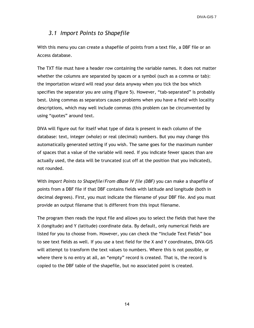#### <span id="page-19-0"></span>*3.1 Import Points to Shapefile*

With this menu you can create a shapefile of points from a text file, a DBF file or an Access database.

The TXT file must have a header row containing the variable names. It does not matter whether the columns are separated by spaces or a symbol (such as a comma or tab): the importation wizard will read your data anyway when you tick the box which specifies the separator you are using (Figure 5). However, "tab-separated" is probably best. Using commas as separators causes problems when you have a field with locality descriptions, which may well include commas (this problem can be circumvented by using "quotes" around text.

DIVA will figure out for itself what type of data is present in each column of the database: text, integer (whole) or real (decimal) numbers. But you may change this automatically generated setting if you wish. The same goes for the maximum number of spaces that a value of the variable will need. If you indicate fewer spaces than are actually used, the data will be truncated (cut off at the position that you indicated), not rounded.

With *Import Points to Shapefile/From dBase IV file (DBF)* you can make a shapefile of points from a DBF file if that DBF contains fields with latitude and longitude (both in decimal degrees). First, you must indicate the filename of your DBF file. And you must provide an output filename that is different from this input filename.

The program then reads the input file and allows you to select the fields that have the X (longitude) and Y (latitude) coordinate data. By default, only numerical fields are listed for you to choose from. However, you can check the "Include Text Fields" box to see text fields as well. If you use a text field for the X and Y coordinates, DIVA-GIS will attempt to transform the text values to numbers. Where this is not possible, or where there is no entry at all, an "empty" record is created. That is, the record is copied to the DBF table of the shapefile, but no associated point is created.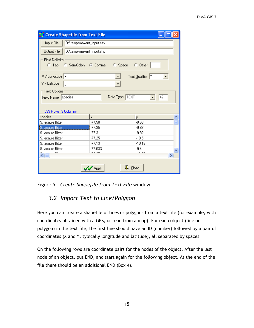| <b>Create Shapefile from Text File</b>                            |                                        |                   |  |
|-------------------------------------------------------------------|----------------------------------------|-------------------|--|
| Input File<br>D:\temp\maxent_input.csv                            |                                        |                   |  |
| Output File<br>D:\temp\maxent_input.shp                           |                                        |                   |  |
| <b>Field Delimiter</b><br>© SemiColon ⊙ Comma<br>$C$ Tab          | $C$ Space                              | <b>C</b> Other    |  |
| X / Longitude   x                                                 | ▼                                      | Text Qualifier: " |  |
| Y / Latitude<br>y.                                                | $\overline{\phantom{a}}$               |                   |  |
| <b>Field Options</b><br>Field Name species<br>599 Rows; 3 Columns | Data Type TEXT                         | 42                |  |
| species                                                           | x.                                     | ÿ.                |  |
| S. acaule Bitter                                                  | $-77.58$                               | $-8.63$           |  |
| S. acaule Bitter                                                  | $-77.35$                               | $-9.67$           |  |
| S. acaule Bitter                                                  | $-77.3$                                | $-9.82$           |  |
| S. acaule Bitter                                                  | $-77.25$                               | $-10.5$           |  |
| S. acaule Bitter                                                  | $-77.13$                               | $-10.18$          |  |
| S. acaule Bitter                                                  | $-77.033$                              | $-9.4$            |  |
| $\leftarrow$                                                      |                                        | ۶                 |  |
|                                                                   | $\mathbf{\mu}$ Close<br><b>V</b> Apply |                   |  |

<span id="page-20-0"></span>Figure 5. *Create Shapefile from Text File* window

# *3.2 Import Text to Line/Polygon*

Here you can create a shapefile of lines or polygons from a text file (for example, with coordinates obtained with a GPS, or read from a map). For each object (line or polygon) in the text file, the first line should have an ID (number) followed by a pair of coordinates (X and Y, typically longitude and latitude), all separated by spaces.

On the following rows are coordinate pairs for the nodes of the object. After the last node of an object, put END, and start again for the following object. At the end of the file there should be an additional END (Box 4).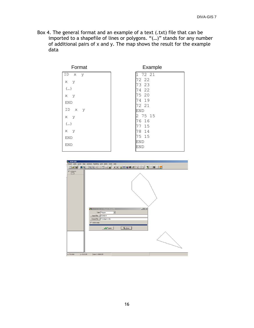Box 4. The general format and an example of a text (.txt) file that can be imported to a shapefile of lines or polygons. "(…)" stands for any number of additional pairs of x and y. The map shows the result for the example data

| Format                    | Example    |
|---------------------------|------------|
| ID<br>Х<br>y              | 1 72 21    |
| X<br>y                    | 72 22      |
|                           | 73 23      |
| ()                        | 22<br>74   |
| x y                       | 75 20      |
| <b>END</b>                | 74 19      |
|                           | 72 21      |
| ID<br>$\mathbf{X}$<br>– y | <b>END</b> |
| x y                       | 2 75 15    |
| ()                        | 76 16      |
|                           | 77 15      |
| x y                       | 78 14      |
| <b>END</b>                | 75 15      |
| <b>END</b>                | <b>END</b> |
|                           | <b>END</b> |
|                           |            |

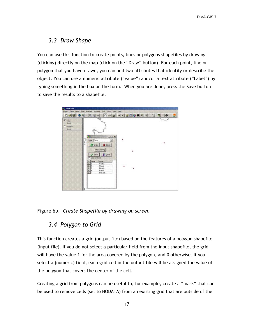#### <span id="page-22-0"></span>*3.3 Draw Shape*

You can use this function to create points, lines or polygons shapefiles by drawing (clicking) directly on the map (click on the "Draw" button). For each point, line or polygon that you have drawn, you can add two attributes that identify or describe the object. You can use a numeric attribute ("value") and/or a text attribute ("Label") by typing something in the box on the form. When you are done, press the Save button to save the results to a shapefile.



<span id="page-22-1"></span>Figure 6b. *Create Shapefile by drawing on screen*

#### *3.4 Polygon to Grid*

This function creates a grid (output file) based on the features of a polygon shapefile (input file). If you do not select a particular field from the input shapefile, the grid will have the value 1 for the area covered by the polygon, and 0 otherwise. If you select a (numeric) field, each grid cell in the output file will be assigned the value of the polygon that covers the center of the cell.

Creating a grid from polygons can be useful to, for example, create a "mask" that can be used to remove cells (set to NODATA) from an existing grid that are outside of the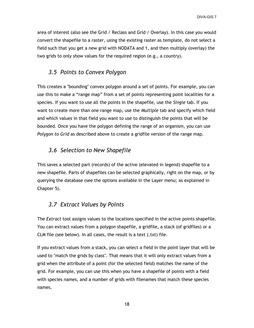area of interest (also see the Grid / Reclass and Grid / Overlay). In this case you would convert the shapefile to a raster, using the existing raster as template, do not select a field such that you get a new grid with NODATA and 1, and then multiply (overlay) the two grids to only show values for the required region (e.g., a country).

#### <span id="page-23-0"></span>*3.5 Points to Convex Polygon*

This creates a "bounding" convex polygon around a set of points. For example, you can use this to make a "range map" from a set of points representing point localities for a species. If you want to use all the points in the shapefile, use the *Single* tab. If you want to create more than one range map, use the *Multiple* tab and specify which field and which values in that field you want to use to distinguish the points that will be bounded. Once you have the polygon defining the range of an organism, you can use *Polygon to Grid* as described above to create a gridfile version of the range map.

#### <span id="page-23-1"></span>*3.6 Selection to New Shapefile*

This saves a selected part (records) of the active (elevated in legend) shapefile to a new shapefile. Parts of shapefiles can be selected graphically, right on the map, or by querying the database (see the options available in the Layer menu; as explained in Chapter 5).

#### <span id="page-23-2"></span>*3.7 Extract Values by Points*

The *Extract* tool assigns values to the locations specified in the active points shapefile. You can extract values from a polygon shapefile, a gridfile, a stack (of gridfiles) or a CLM file (see below). In all cases, the result is a text (.txt) file.

If you extract values from a stack, you can select a field in the point layer that will be used to "match the grids by class". That means that it will only extract values from a grid when the attribute of a point (for the selected field) matches the name of the grid. For example, you can use this when you have a shapefile of points with a field with species names, and a number of grids with filenames that match these species names.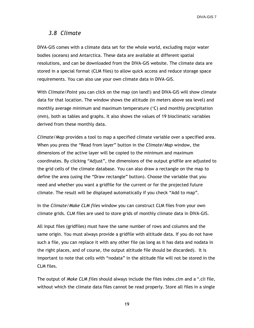#### <span id="page-24-0"></span>*3.8 Climate*

DIVA-GIS comes with a climate data set for the whole world, excluding major water bodies (oceans) and Antarctica. These data are available at different spatial resolutions, and can be downloaded from the DIVA-GIS website. The climate data are stored in a special format (CLM files) to allow quick access and reduce storage space requirements. You can also use your own climate data in DIVA-GIS.

With *Climate/Point* you can click on the map (on land!) and DIVA-GIS will show climate data for that location. The window shows the altitude (in meters above sea level) and monthly average minimum and maximum temperature  $(\degree C)$  and monthly precipitation (mm), both as tables and graphs. It also shows the values of 19 bioclimatic variables derived from these monthly data.

*Climate/Map* provides a tool to map a specified climate variable over a specified area. When you press the "Read from layer" button in the *Climate/Map* window, the dimensions of the active layer will be copied to the minimum and maximum coordinates. By clicking "Adjust"*,* the dimensions of the output gridfile are adjusted to the grid cells of the climate database. You can also draw a rectangle on the map to define the area (using the "Draw rectangle" button). Choose the variable that you need and whether you want a gridfile for the current or for the projected future climate. The result will be displayed automatically if you check "Add to map"*.*

In the *Climate/Make CLM files* window you can construct CLM files from your own climate grids. CLM files are used to store grids of monthly climate data in DIVA-GIS.

All input files (gridfiles) must have the same number of rows and columns and the same origin. You must always provide a gridfile with altitude data. If you do not have such a file, you can replace it with any other file (as long as it has data and nodata in the right places, and of course, the output altitude file should be discarded). It is important to note that cells with "nodata" in the altitude file will not be stored in the CLM files.

The output of *Make CLM files* should always include the files index.clm and a \*.cli file, without which the climate data files cannot be read properly. Store all files in a single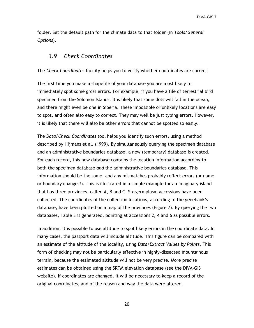folder. Set the default path for the climate data to that folder (in *Tools/General Options*).

#### <span id="page-25-0"></span>*3.9 Check Coordinates*

The *Check Coordinates* facility helps you to verify whether coordinates are correct.

The first time you make a shapefile of your database you are most likely to immediately spot some gross errors. For example, if you have a file of terrestrial bird specimen from the Solomon Islands, it is likely that some dots will fall in the ocean, and there might even be one in Siberia. These impossible or unlikely locations are easy to spot, and often also easy to correct. They may well be just typing errors. However, it is likely that there will also be other errors that cannot be spotted so easily.

The *Data/Check Coordinates* tool helps you identify such errors, using a method described by Hijmans et al. (1999). By simultaneously querying the specimen database and an administrative boundaries database, a new (temporary) database is created. For each record, this new database contains the location information according to both the specimen database *and* the administrative boundaries database. This information should be the same, and any mismatches probably reflect errors (or name or boundary changes!). This is illustrated in a simple example for an imaginary island that has three provinces, called A, B and C. Six germplasm accessions have been collected. The coordinates of the collection locations, according to the genebank"s database, have been plotted on a map of the provinces (Figure 7). By querying the two databases, Table 3 is generated, pointing at accessions 2, 4 and 6 as possible errors.

In addition, it is possible to use altitude to spot likely errors in the coordinate data. In many cases, the passport data will include altitude. This figure can be compared with an estimate of the altitude of the locality, using *Data/Extract Values by Points*. This form of checking may not be particularly effective in highly-dissected mountainous terrain, because the estimated altitude will not be very precise. More precise estimates can be obtained using the SRTM elevation database (see the DIVA-GIS website). If coordinates are changed, it will be necessary to keep a record of the original coordinates, and of the reason and way the data were altered.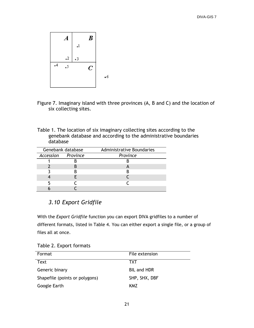

- Figure 7. Imaginary island with three provinces (A, B and C) and the location of six collecting sites.
- Table 1. The location of six imaginary collecting sites according to the genebank database and according to the administrative boundaries database

| Genebank database  |  | Administrative Boundaries |
|--------------------|--|---------------------------|
| Accession Province |  | Province                  |
|                    |  |                           |
|                    |  |                           |
|                    |  |                           |
|                    |  |                           |
|                    |  |                           |
|                    |  |                           |

# <span id="page-26-0"></span>*3.10 Export Gridfile*

With the *Export Gridfile* function you can export DIVA gridfiles to a number of different formats, listed in Table 4. You can either export a single file, or a group of files all at once.

Table 2. Export formats

| Format                         | File extension     |
|--------------------------------|--------------------|
| Text                           | тхт                |
| Generic binary                 | <b>BIL and HDR</b> |
| Shapefile (points or polygons) | SHP, SHX, DBF      |
| Google Earth                   | KMZ                |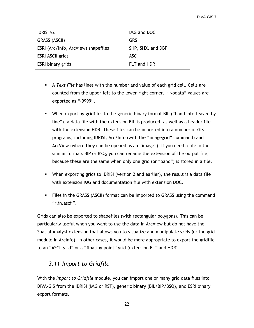| <b>IDRISI v2</b>                    | IMG and DOC       |
|-------------------------------------|-------------------|
| GRASS (ASCII)                       | GRS               |
| ESRI (Arc/Info, ArcView) shapefiles | SHP, SHX, and DBF |
| <b>ESRI ASCII grids</b>             | ASC.              |
| ESRI binary grids                   | FLT and HDR       |

- A *Text File* has lines with the number and value of each grid cell. Cells are counted from the upper-left to the lower-right corner. "Nodata" values are exported as "-9999".
- When exporting gridfiles to the generic binary format BIL ("band interleaved by line"), a data file with the extension BIL is produced, as well as a header file with the extension HDR. These files can be imported into a number of GIS programs, including IDRISI, Arc/Info (with the "imagegrid" command) and ArcView (where they can be opened as an "image"). If you need a file in the similar formats BIP or BSQ, you can rename the extension of the output file, because these are the same when only one grid (or "band") is stored in a file.
- When exporting grids to IDRISI (version 2 and earlier), the result is a data file with extension IMG and documentation file with extension DOC.
- Files in the GRASS (ASCII) format can be imported to GRASS using the command "r.in.ascii".

Grids can also be exported to shapefiles (with rectangular polygons). This can be particularly useful when you want to use the data in ArcView but do not have the Spatial Analyst extension that allows you to visualize and manipulate grids (or the grid module in ArcInfo). In other cases, it would be more appropriate to export the gridfile to an "ASCII grid" or a "floating point" grid (extension FLT and HDR).

# <span id="page-27-0"></span>*3.11 Import to Gridfile*

With the *Import to Gridfile* module, you can import one or many grid data files into DIVA-GIS from the IDRISI (IMG or RST), generic binary (BIL/BIP/BSQ), and ESRI binary export formats.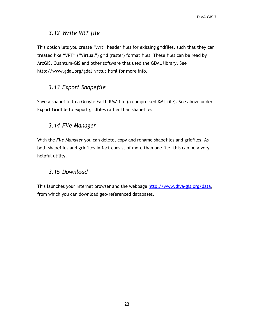#### <span id="page-28-0"></span>*3.12 Write VRT file*

This option lets you create ".vrt" header files for existing gridfiles, such that they can treated like "VRT" ("Virtual") grid (raster) format files. These files can be read by ArcGIS, Quantum-GIS and other software that used the GDAL library. See http://www.gdal.org/gdal\_vrttut.html for more info.

# <span id="page-28-1"></span>*3.13 Export Shapefile*

Save a shapefile to a Google Earth KMZ file (a compressed KML file). See above under Export Gridfile to export gridfiles rather than shapefiles.

#### <span id="page-28-2"></span>*3.14 File Manager*

With the *File Manager* you can delete, copy and rename shapefiles and gridfiles. As both shapefiles and gridfiles in fact consist of more than one file, this can be a very helpful utility.

#### <span id="page-28-3"></span>*3.15 Download*

This launches your Internet browser and the webpage [http://www.diva-gis.org/data,](http://www.diva-gis.org/data) from which you can download geo-referenced databases.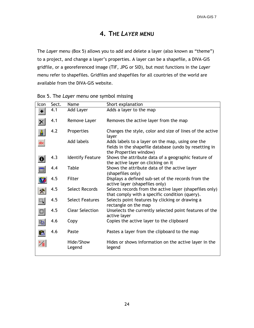# **4. THE** *LAYER* **MENU**

<span id="page-29-0"></span>The *Layer* menu (Box 5) allows you to add and delete a layer (also known as "theme") to a project, and change a layer"s properties. A layer can be a shapefile, a DIVA-GIS gridfile, or a georeferenced image (TIF, JPG or SID), but most functions in the *Layer*  menu refer to shapefiles. Gridfiles and shapefiles for all countries of the world are available from the DIVA-GIS website.

| Icon                   | Sect. | Name                    | Short explanation                                                                                                                    |
|------------------------|-------|-------------------------|--------------------------------------------------------------------------------------------------------------------------------------|
|                        |       |                         |                                                                                                                                      |
|                        | 4.1   | Add Layer               | Adds a layer to the map                                                                                                              |
|                        | 4.1   | Remove Layer            | Removes the active layer from the map                                                                                                |
|                        | 4.2   | Properties              | Changes the style, color and size of lines of the active<br>layer                                                                    |
| abc                    |       | Add labels              | Adds labels to a layer on the map, using one the<br>fields in the shapefile database (undo by resetting in<br>the Properties window) |
|                        | 4.3   | <b>Identify Feature</b> | Shows the attribute data of a geographic feature of<br>the active layer on clicking on it                                            |
| 匪                      | 4.4   | Table                   | Shows the attribute data of the active layer<br>(shapefiles only)                                                                    |
|                        | 4.5   | Filter                  | Displays a defined sub-set of the records from the<br>active layer (shapefiles only)                                                 |
| 滲                      | 4.5   | <b>Select Records</b>   | Selects records from the active layer (shapefiles only)<br>that comply with a specific condition (query).                            |
| $\Box_{\pmb{\lambda}}$ | 4.5   | <b>Select Features</b>  | Selects point features by clicking or drawing a<br>rectangle on the map                                                              |
|                        | 4.5   | <b>Clear Selection</b>  | Unselects the currently selected point features of the<br>active layer                                                               |
| lg                     | 4.6   | Copy                    | Copies the active layer to the clipboard                                                                                             |
| ê                      | 4.6   | Paste                   | Pastes a layer from the clipboard to the map                                                                                         |
|                        |       | Hide/Show<br>Legend     | Hides or shows information on the active layer in the<br>legend                                                                      |

|  | Box 5. The Layer menu one symbol missing |  |  |  |
|--|------------------------------------------|--|--|--|
|--|------------------------------------------|--|--|--|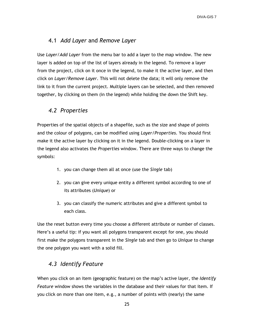#### <span id="page-30-0"></span>4.1 *Add Layer* and *Remove Layer*

Use *Layer/Add Layer* from the menu bar to add a layer to the map window. The new layer is added on top of the list of layers already in the legend. To remove a layer from the project, click on it once in the legend, to make it the active layer, and then click on *Layer/Remove Layer*. This will not delete the data; it will only remove the link to it from the current project. Multiple layers can be selected, and then removed together, by clicking on them (in the legend) while holding the down the Shift key.

#### <span id="page-30-1"></span>*4.2 Properties*

Properties of the spatial objects of a shapefile, such as the size and shape of points and the colour of polygons, can be modified using *Layer/Properties.* You should first make it the active layer by clicking on it in the legend*.* Double-clicking on a layer in the legend also activates the *Properties* window. There are three ways to change the symbols:

- 1. you can change them all at once (use the *Single* tab)
- 2. you can give every unique entity a different symbol according to one of its attributes (*Unique*) or
- 3. you can classify the numeric attributes and give a different symbol to each class.

Use the reset button every time you choose a different attribute or number of classes. Here's a useful tip: if you want all polygons transparent except for one, you should first make the polygons transparent in the *Single* tab and then go to *Unique* to change the one polygon you want with a solid fill.

#### <span id="page-30-2"></span>*4.3 Identify Feature*

When you click on an item (geographic feature) on the map"s active layer, the *Identify Feature* window shows the variables in the database and their values for that item. If you click on more than one item, e.g., a number of points with (nearly) the same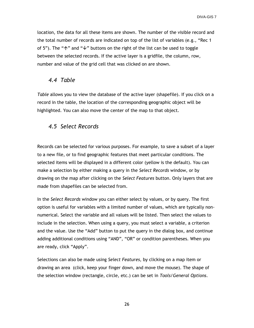location, the data for all these items are shown. The number of the visible record and the total number of records are indicated on top of the list of variables (e.g., "Rec 1 of 5"). The " $\uparrow$ " and " $\downarrow$ " buttons on the right of the list can be used to toggle between the selected records. If the active layer is a gridfile, the column, row, number and value of the grid cell that was clicked on are shown.

#### <span id="page-31-0"></span>*4.4 Table*

*Table* allows you to view the database of the active layer (shapefile). If you click on a record in the table, the location of the corresponding geographic object will be highlighted. You can also move the center of the map to that object.

#### <span id="page-31-1"></span>*4.5 Select Records*

Records can be selected for various purposes. For example, to save a subset of a layer to a new file, or to find geographic features that meet particular conditions. The selected items will be displayed in a different color (yellow is the default). You can make a selection by either making a query in the *Select Records* window, or by drawing on the map after clicking on the *Select Features* button. Only layers that are made from shapefiles can be selected from.

In the *Select Records* window you can either select by values, or by query. The first option is useful for variables with a limited number of values, which are typically nonnumerical. Select the variable and all values will be listed. Then select the values to include in the selection. When using a query, you must select a variable, a criterion and the value. Use the "Add" button to put the query in the dialog box, and continue adding additional conditions using "AND", "OR" or condition parentheses. When you are ready, click "Apply".

Selections can also be made using *Select Features*, by clicking on a map item or drawing an area (click, keep your finger down, and move the mouse). The shape of the selection window (rectangle, circle, etc.) can be set in *Tools/General Options*.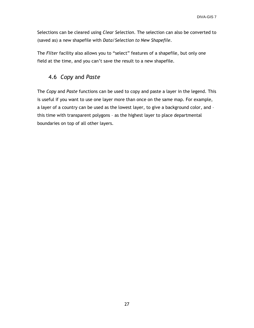Selections can be cleared using *Clear Selection*. The selection can also be converted to (saved as) a new shapefile with *Data/Selection to New Shapefile*.

The *Filter* facility also allows you to "select" features of a shapefile, but only one field at the time, and you can't save the result to a new shapefile.

#### <span id="page-32-0"></span>4.6 *Copy* and *Paste*

The *Copy* and *Paste* functions can be used to copy and paste a layer in the legend. This is useful if you want to use one layer more than once on the same map. For example, a layer of a country can be used as the lowest layer, to give a background color, and – this time with transparent polygons – as the highest layer to place departmental boundaries on top of all other layers.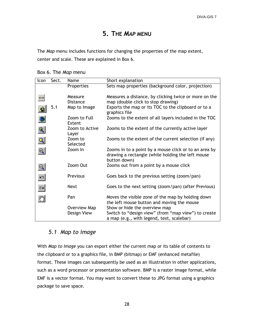# **5. THE** *MAP* **MENU**

<span id="page-33-0"></span>The *Map* menu includes functions for changing the properties of the map extent, center and scale. These are explained in Box 6.

Box 6. The *Map* menu

| Icon                    | Sect. | Name                    | Short explanation                                                                                                          |
|-------------------------|-------|-------------------------|----------------------------------------------------------------------------------------------------------------------------|
|                         |       | Properties              | Sets map properties (background color, projection)                                                                         |
|                         |       |                         |                                                                                                                            |
|                         |       | Measure                 | Measures a distance, by clicking twice or more on the                                                                      |
|                         |       | <b>Distance</b>         | map (double click to stop drawing)                                                                                         |
|                         | 5.1   | Map to Image            | Exports the map or its TOC to the clipboard or to a<br>graphics file                                                       |
|                         |       | Zoom to Full<br>Extent  | Zooms to the extent of all layers included in the TOC                                                                      |
| $\mathbb Q$             |       | Zoom to Active<br>Layer | Zooms to the extent of the currently active layer                                                                          |
|                         |       | Zoom to                 | Zooms to the extent of the current selection (if any)                                                                      |
| ${\mathbb Q}$           |       | Selected                |                                                                                                                            |
| $\overline{\mathbb{Q}}$ |       | Zoom In                 | Zooms in to a point by a mouse click or to an area by<br>drawing a rectangle (while holding the left mouse<br>button down) |
| Q                       |       | Zoom Out                | Zooms out from a point by a mouse click                                                                                    |
| kЭ.                     |       | Previous                | Goes back to the previous setting (zoom/pan)                                                                               |
| $\sim$                  |       | <b>Next</b>             | Goes to the next setting (zoom/pan) (after Previous)                                                                       |
| $\mathcal{E}$           |       | Pan                     | Moves the visible zone of the map by holding down<br>the left mouse button and moving the mouse                            |
|                         |       | Overview Map            | Show or hide the overview map                                                                                              |
|                         |       | Design View             | Switch to "design view" (from "map view") to create<br>a map (e.g., with legend, text, scalebar)                           |

#### <span id="page-33-1"></span>*5.1 Map to image*

With *Map to Image* you can export either the current map or its table of contents to the clipboard or to a graphics file, in BMP (bitmap) or EMF (enhanced metafile) format. These images can subsequently be used as an illustration in other applications, such as a word processor or presentation software. BMP is a raster image format, while EMF is a vector format. You may want to convert these to JPG format using a graphics package to save space.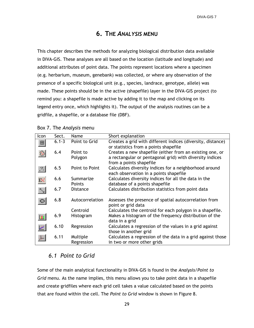# **6. THE** *ANALYSIS* **MENU**

<span id="page-34-0"></span>This chapter describes the methods for analyzing biological distribution data available in DIVA-GIS. These analyses are all based on the location (latitude and longitude) and additional attributes of point data. The points represent locations where a specimen (e.g. herbarium, museum, genebank) was collected, or where any observation of the presence of a specific biological unit (e.g., species, landrace, genotype, allele) was made. These points should be in the active (shapefile) layer in the DIVA-GIS project (to remind you: a shapefile is made active by adding it to the map and clicking on its legend entry once, which highlights it). The output of the analysis routines can be a gridfile, a shapefile, or a database file (DBF).

| Icon                | Sect.     | Name            | Short explanation                                           |
|---------------------|-----------|-----------------|-------------------------------------------------------------|
| 田                   | $6.1 - 3$ | Point to Grid   | Creates a grid with different indices (diversity, distance) |
|                     |           |                 | or statistics from a points shapefile                       |
|                     | 6.4       | Point to        | Creates a new shapefile (either from an existing one, or    |
|                     |           | Polygon         | a rectangular or pentagonal grid) with diversity indices    |
|                     |           |                 | from a points shapefile                                     |
| Ø.                  | 6.5       | Point to Point  | Calculates diversity indices for a neighborhood around      |
|                     |           |                 | each observation in a points shapefile                      |
| Þ.                  | 6.6       | Summarize       | Calculates diversity indices for all the data in the        |
|                     |           | Points          | database of a points shapefile                              |
| $\searrow$          | 6.7       | <b>Distance</b> | Calculates distribution statistics from point data          |
|                     |           |                 |                                                             |
|                     | 6.8       | Autocorrelation | Assesses the presence of spatial autocorrelation from       |
|                     |           |                 | point or grid data                                          |
|                     |           | Centroid        | Calculates the centroid for each polygon in a shapefile.    |
|                     | 6.9       | Histogram       | Makes a histogram of the frequency distribution of the      |
|                     |           |                 | data in a grid                                              |
| $\frac{d^2r}{dr^2}$ | 6.10      | Regression      | Calculates a regression of the values in a grid against     |
|                     |           |                 | those in another grid                                       |
| ţ.                  | 6.11      | Multiple        | Calculates a regression of the data in a grid against those |
|                     |           | Regression      | in two or more other grids                                  |

#### Box 7. The *Analysis* menu

#### <span id="page-34-1"></span>*6.1 Point to Grid*

Some of the main analytical functionality in DIVA-GIS is found in the *Analysis/Point to Grid* menu. As the name implies, this menu allows you to take point data in a shapefile and create gridfiles where each grid cell takes a value calculated based on the points that are found within the cell. The *Point to Grid* window is shown in Figure 8.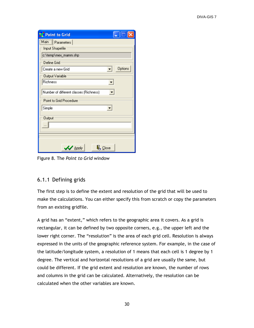| Point to Grid                          |
|----------------------------------------|
| Main Parameters                        |
| Input Shapefile                        |
| c:\temp\mex_mamm.shp                   |
| Define Grid                            |
| Options<br>Create a new Grid           |
| <b>Output Variable</b>                 |
| Richness                               |
| Number of different classes (Richness) |
| Point to Grid Procedure                |
| Simple                                 |
| Output                                 |
| $\mathcal V$ Apply<br>$\Psi$ Close     |

Figure 8. The *Point to Grid* window

#### <span id="page-35-0"></span>6.1.1 Defining grids

The first step is to define the extent and resolution of the grid that will be used to make the calculations. You can either specify this from scratch or copy the parameters from an existing gridfile.

A grid has an "extent," which refers to the geographic area it covers. As a grid is rectangular, it can be defined by two opposite corners, e.g., the upper left and the lower right corner. The "resolution" is the area of each grid cell. Resolution is always expressed in the units of the geographic reference system. For example, in the case of the latitude/longitude system, a resolution of 1 means that each cell is 1 degree by 1 degree. The vertical and horizontal resolutions of a grid are usually the same, but could be different. If the grid extent and resolution are known, the number of rows and columns in the grid can be calculated. Alternatively, the resolution can be calculated when the other variables are known.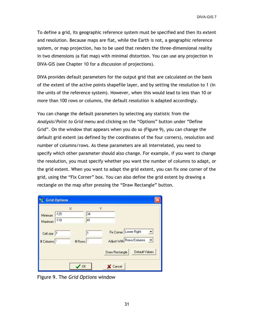To define a grid, its geographic reference system must be specified and then its extent and resolution. Because maps are flat, while the Earth is not, a geographic reference system, or map projection, has to be used that renders the three-dimensional reality in two dimensions (a flat map) with minimal distortion. You can use any projection in DIVA-GIS (see Chapter 10 for a discussion of projections).

DIVA provides default parameters for the output grid that are calculated on the basis of the extent of the active points shapefile layer, and by setting the resolution to 1 (in the units of the reference system). However, when this would lead to less than 10 or more than 100 rows or columns, the default resolution is adapted accordingly.

You can change the default parameters by selecting any statistic from the *Analysis/Point to Grid* menu and clicking on the "Options" button under "Define Grid". On the window that appears when you do so (Figure 9), you can change the default grid extent (as defined by the coordinates of the four corners), resolution and number of columns/rows. As these parameters are all interrelated, you need to specify which other parameter should also change. For example, if you want to change the resolution, you must specify whether you want the number of columns to adapt, or the grid extent. When you want to adapt the grid extent, you can fix one corner of the grid, using the "Fix Corner" box. You can also define the grid extent by drawing a rectangle on the map after pressing the "Draw Rectangle" button.

| <b>N</b> Grid Options                  |                     |               |                |                                                                           |  |
|----------------------------------------|---------------------|---------------|----------------|---------------------------------------------------------------------------|--|
| $-125$<br>Minimum<br>$-118$<br>Maximum | ×                   | Υ<br>34<br>41 |                |                                                                           |  |
| Cell size 1<br># Columns <sup>7</sup>  | # Rows <sup>7</sup> |               |                | Fix Corner Lower Right<br>Adjust With Rows/Columns<br>$\vert \cdot \vert$ |  |
|                                        |                     |               | Draw Rectangle | Default Values                                                            |  |
|                                        | 0K                  |               | Cancel         |                                                                           |  |

Figure 9. The *Grid Options* window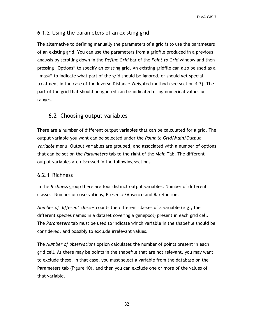# 6.1.2 Using the parameters of an existing grid

The alternative to defining manually the parameters of a grid is to use the parameters of an existing grid. You can use the parameters from a gridfile produced in a previous analysis by scrolling down in the *Define Grid* bar of the *Point to Grid* window and then pressing "Options" to specify an existing grid. An existing gridfile can also be used as a "mask" to indicate what part of the grid should be ignored, or should get special treatment in the case of the Inverse Distance Weighted method (see section 4.3). The part of the grid that should be ignored can be indicated using numerical values or ranges.

# 6.2 Choosing output variables

There are a number of different output variables that can be calculated for a grid. The output variable you want can be selected under the *Point to Grid/Main/Output Variable* menu. Output variables are grouped, and associated with a number of options that can be set on the *Parameters* tab to the right of the *Main* Tab. The different output variables are discussed in the following sections.

#### 6.2.1 Richness

In the *Richness* group there are four distinct output variables: Number of different classes, Number of observations, Presence/Absence and Rarefaction.

*Number of different classes* counts the different classes of a variable (e.g., the different species names in a dataset covering a genepool) present in each grid cell. The *Parameters* tab must be used to indicate which variable in the shapefile should be considered, and possibly to exclude irrelevant values.

The *Number of observation*s option calculates the number of points present in each grid cell. As there may be points in the shapefile that are not relevant, you may want to exclude these. In that case, you must select a variable from the database on the Parameters tab (Figure 10), and then you can exclude one or more of the values of that variable.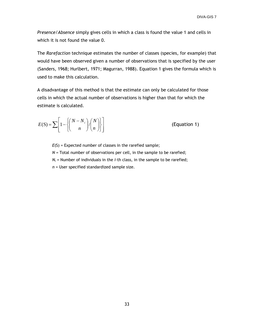*Presence/Absence* simply gives cells in which a class is found the value 1 and cells in which it is not found the value 0.

The *Rarefaction* technique estimates the number of classes (species, for example) that would have been observed given a number of observations that is specified by the user (Sanders, 1968; Hurlbert, 1971; Magurran, 1988). Equation 1 gives the formula which is used to make this calculation.

A disadvantage of this method is that the estimate can only be calculated for those cells in which the actual number of observations is higher than that for which the estimate is calculated.

$$
E(S) = \sum \left[ 1 - \left\{ \binom{N - N_i}{n} / \binom{N}{n} \right\} \right]
$$
 (Equation 1)

*E*(S) = Expected number of classes in the rarefied sample; *N* = Total number of observations per cell, in the sample to be rarefied;  $N_i$  = Number of individuals in the *i*-th class, in the sample to be rarefied; *n* = User specified standardized sample size.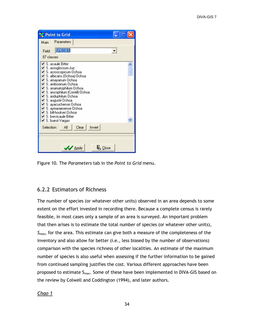|            | <b>Point to Grid</b>                                                                                                                                                                                                                                                                                                                                                                                                                  |  |
|------------|---------------------------------------------------------------------------------------------------------------------------------------------------------------------------------------------------------------------------------------------------------------------------------------------------------------------------------------------------------------------------------------------------------------------------------------|--|
|            | Main Parameters                                                                                                                                                                                                                                                                                                                                                                                                                       |  |
| Field:     | <b>SPECIES</b>                                                                                                                                                                                                                                                                                                                                                                                                                        |  |
| 87 classes |                                                                                                                                                                                                                                                                                                                                                                                                                                       |  |
| ✔<br>✔     | $\blacktriangledown$ S. acaule Bitter<br>✔ S. acroglossum Juz.<br>S. acroscopicum Ochoa<br>☑ S. albicans (Ochoa) Ochoa<br>☑ S. amayanum Ochoa<br>✔ S. ambosinum Ochoa<br>☑ S. anamatophilum Ochoa<br>✔ S. ancophilum (Correll) Ochoa<br>☑ S. ariduphilum Ochoa<br>✔ S. augustii Ochoa<br>S. ayacuchense Ochoa<br>✔ S. aymaraesense Ochoa<br>S. bill-hookeri Ochoa<br>$\blacktriangleright$ S. brevicaule Bitter<br>☑ S. buesii Vargas |  |
| Selection: | Invert<br>Clear<br>ΑI                                                                                                                                                                                                                                                                                                                                                                                                                 |  |
|            |                                                                                                                                                                                                                                                                                                                                                                                                                                       |  |
|            | $\mathcal{U}$ Apply<br>叫 Close                                                                                                                                                                                                                                                                                                                                                                                                        |  |

Figure 10. The *Parameters* tab in the *Point to Grid* menu.

#### 6.2.2 Estimators of Richness

The number of species (or whatever other units) observed in an area depends to some extent on the effort invested in recording there. Because a complete census is rarely feasible, in most cases only a sample of an area is surveyed. An important problem that then arises is to estimate the total number of species (or whatever other units), *Smax*, for the area. This estimate can give both a measure of the completeness of the inventory and also allow for better (i.e., less biased by the number of observations) comparison with the species richness of other localities. An estimate of the maximum number of species is also useful when assessing if the further information to be gained from continued sampling justifies the cost. Various different approaches have been proposed to estimate  $S_{\text{max}}$ . Some of these have been implemented in DIVA-GIS based on the review by Colwell and Coddington (1994), and later authors.

#### *Chao 1*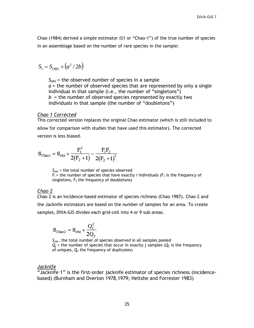Chao (1984) derived a simple estimator (S1 or "Chao-1") of the true number of species in an assemblage based on the number of rare species in the sample:

$$
S_1 = S_{OBS} + \left(a^2/2b\right)
$$

*Sobs* = the observed number of species in a sample *a* = the number of observed species that are represented by only a single individual in that sample (i.e., the number of "singletons")  $b =$  the number of observed species represented by exactly two individuals in that sample (the number of "doubletons")

#### *Chao 1 Corrected*

This corrected version replaces the original Chao estimator (which is still included to allow for comparison with studies that have used this estimator). The corrected version is less biased.

$$
\mathbf{S}_{\text{Chao1}} = \mathbf{S}_{\text{obs}} + \frac{F_1^2}{2\big(F_2+1\big)}\!-\!\frac{F_1F_2}{2\big(F_2+1\big)^2}
$$

*Sobs* = the total number of species observed  $F_i$  = the number of species that have exactly *i* individuals ( $F_1$  is the frequency of singletons,  $F_2$  the frequency of doubletons)

#### *Chao 2*

Chao 2 is an incidence-based estimator of species richness (Chao 1987). Chao 2 and the Jacknife estimators are based on the number of samples for an area. To create samples, DIVA-GIS divides each grid-cell into 4 or 9 sub-areas.

$$
S_{\text{Chao2}} = S_{\text{obs}} + \frac{Q_1^2}{2Q_2}
$$

 $S_{obs}$  the total number of species observed in all samples pooled  $Q_i$  = the number of species that occur in exactly j samples ( $Q_i$  is the frequency of uniques, *Q<sup>2</sup>* the frequency of duplicates)

#### *Jacknife*

"Jacknife 1" is the first-order jacknife estimator of species richness (incidencebased) (Burnham and Overton 1978,1979; Heltshe and Forrester 1983)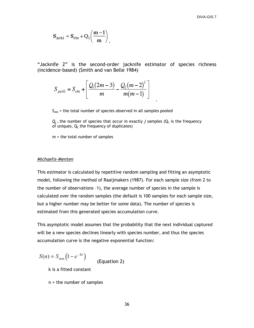$$
\mathbf{S}_{\text{jack1}} = \mathbf{S}_{\text{obs}} + \mathbf{Q}_1 \bigg( \frac{\mathbf{m} - \mathbf{1}}{\mathbf{m}} \bigg)
$$

"Jacknife 2" is the second-order jacknife estimator of species richness (incidence-based) (Smith and van Belle 1984)

$$
S_{\text{jack2}} = S_{\text{obs}} + \left[ \frac{Q_1(2m-3)}{m} - \frac{Q_2(m-2)^2}{m(m-1)} \right]
$$

 $S<sub>obs</sub>$  = the total number of species observed in all samples pooled

 $Q_i$  = the number of species that occur in exactly *j* samples ( $Q_1$  is the frequency of uniques,  $Q_2$  the frequency of duplicates)

.

*m* = the total number of samples

#### *Michaelis-Menten*

This estimator is calculated by repetitive random sampling and fitting an asymptotic model, following the method of Raaijmakers (1987). For each sample size (from 2 to the number of observations –1), the average number of species in the sample is calculated over the random samples (the default is 100 samples for each sample size, but a higher number may be better for some data). The number of species is estimated from this generated species accumulation curve.

This asymptotic model assumes that the probability that the next individual captured will be a new species declines linearly with species number, and thus the species accumulation curve is the negative exponential function:

$$
S(n) = S_{\text{max}}\left(1 - e^{-kn}\right)
$$
 (Equation 2)

k is a fitted constant

n = the number of samples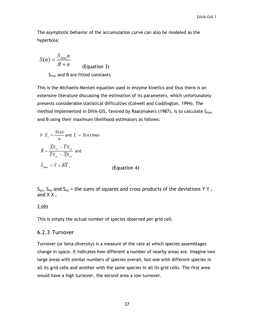The asymptotic behavior of the accumulation curve can also be modeled as the hyperbola:

$$
S(n) = \frac{S_{\text{max}}n}{B+n}
$$
 (Equation 3)

 $S<sub>max</sub>$  and B are fitted constants

This is the Michaelis-Menten equation used in enzyme kinetics and thus there is an extensive literature discussing the estimation of its parameters, which unfortunately presents considerable statistical difficulties (Colwell and Coddington, 1994). The method implemented in DIVA-GIS, favored by Raaijmakers (1987), is to calculate  $S_{max}$ and B using their maximum likelihood estimators as follows:

If 
$$
X_i = \frac{S(n)}{n}
$$
 and  $Y_i = S(n)$  then  
\n
$$
\hat{B} = \frac{\overline{X}S_{yy} - \overline{Y}S_{xy}}{\overline{Y}S_{xx} - \overline{X}S_{xy}}
$$
 and  
\n
$$
\hat{S}_{\text{max}} = \hat{Y} + \hat{B}\overline{X},
$$
 (Equation 4)

 $S_{yy}$ ,  $S_{xx}$  and  $S_{xy}$  = the sums of squares and cross products of the deviations Y Y i and  $X X_i$ 

#### *S-obs*

This is simply the actual number of species observed per grid cell.

#### 6.2.3 Turnover

Turnover (or beta-diversity) is a measure of the rate at which species assemblages change in space. It indicates how different a number of nearby areas are. Imagine two large areas with similar numbers of species overall, but one with different species in all its grid cells and another with the same species in all its grid cells. The first area would have a high turnover, the second area a low turnover.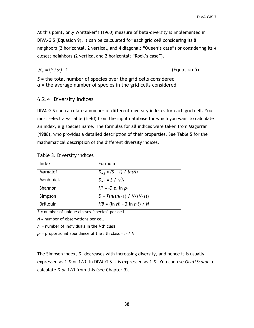At this point, only Whittaker"s (1960) measure of beta-diversity is implemented in DIVA-GIS (Equation 9). It can be calculated for each grid cell considering its 8 neighbors (2 horizontal, 2 vertical, and 4 diagonal; "Queen"s case") or considering its 4 closest neighbors (2 vertical and 2 horizontal; "Rook"s case").

$$
\beta_{w} = (S/\alpha) - 1
$$

(Equation 5)

*S* = the total number of species over the grid cells considered α = the average number of species in the grid cells considered

#### 6.2.4 Diversity indices

DIVA-GIS can calculate a number of different diversity indeces for each grid cell. You must select a variable (field) from the input database for which you want to calculate an index, e.g species name. The formulas for all indices were taken from Magurran (1988), who provides a detailed description of their properties. See Table 5 for the mathematical description of the different diversity indices.

#### Table 3. Diversity indices

| Index            | Formula                                |
|------------------|----------------------------------------|
| Margalef         | $D_{Mg} = (S - 1) / ln(N)$             |
| Menhinick        | $D_{Mn} = S / \sqrt{N}$                |
| Shannon          | $H' = -\sum p_i \ln p_i$               |
| Simpson          | $D = \sum (n_i (n_i - 1) / N/(N - 1))$ |
| <b>Brillouin</b> | $HB = (\ln N! - \sum \ln n_i!) / N$    |

*S* = number of unique classes (species) per cell

*N* = number of observations per cell

*n<sup>i</sup>* = number of individuals in the *i*-th class

*p<sup>i</sup>* = proportional abundance of the *i* th class = *ni* / *N*

The Simpson index, *D*, decreases with increasing diversity, and hence it is usually expressed as 1*–D* or 1/*D*. In DIVA-GIS it is expressed as 1-*D*. You can use *Grid/Scalar* to calculate *D or* 1/*D* from this (see Chapter 9).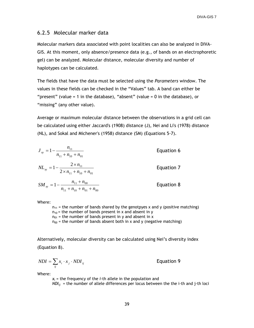#### 6.2.5 Molecular marker data

Molecular markers data associated with point localities can also be analyzed in DIVA-GIS. At this moment, only absence/presence data (e.g., of bands on an electrophoretic gel) can be analyzed. Molecular distance, molecular diversity and number of haplotypes can be calculated.

The fields that have the data must be selected using the *Parameters* window. The values in these fields can be checked in the "Values" tab. A band can either be "present" (value = 1 in the database), "absent" (value = 0 in the database), or "missing" (any other value).

Average or maximum molecular distance between the observations in a grid cell can be calculated using either Jaccard's (1908) distance (J), Nei and Li's (1978) distance (NL), and Sokal and Michener's (1958) distance (SM) (Equations 5-7).

| $J_{xy} = 1 - \frac{n_{11}}{n_{11} + n_{10} + n_{01}}$                    | Equation 6 |
|---------------------------------------------------------------------------|------------|
| $NL_{xy} = 1 - \frac{2 \times n_{11}}{2 \times n_{11} + n_{10} + n_{01}}$ | Equation 7 |
| $SM_{xy} = 1 - \frac{n_{11} + n_{00}}{n_{11} + n_{10} + n_{01} + n_{00}}$ | Equation 8 |

Where:

 $n_{11}$  = the number of bands shared by the genotpyes x and y (positive matching)  $n_{10}$  = the number of bands present in x and absent in y  $n_{01}$  = the number of bands present in y and absent in x  $n_{00}$  = the number of bands absent both in x and y (negative matching)

Alternatively, molecular diversity can be calculated using Nei"s diversity index (Equation 8).

$$
NDI = \sum_{ij} x_i \cdot x_j \cdot NDI_{ij}
$$

Equation 9

Where:

 $x_i$  = the frequency of the *i*-th allele in the population and *NDIij* = the number of allele differences per locus between the the i-th and j-th loci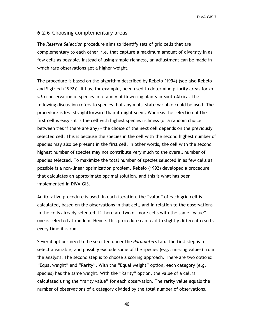#### 6.2.6 Choosing complementary areas

The *Reserve Selection* procedure aims to identify sets of grid cells that are complementary to each other, i.e. that capture a maximum amount of diversity in as few cells as possible. Instead of using simple richness, an adjustment can be made in which rare observations get a higher weight.

The procedure is based on the algorithm described by Rebelo (1994) (see also Rebelo and Sigfried (1992)). It has, for example, been used to determine priority areas for *in situ* conservation of species in a family of flowering plants in South Africa. The following discussion refers to species, but any multi-state variable could be used. The procedure is less straightforward than it might seem. Whereas the selection of the first cell is easy – it is the cell with highest species richness (or a random choice between ties if there are any) – the choice of the next cell depends on the previously selected cell. This is because the species in the cell with the second highest number of species may also be present in the first cell. In other words, the cell with the second highest number of species may not contribute very much to the overall number of species selected. To maximize the total number of species selected in as few cells as possible is a non-linear optimization problem. Rebelo (1992) developed a procedure that calculates an approximate optimal solution, and this is what has been implemented in DIVA-GIS.

An iterative procedure is used. In each iteration, the "value" of each grid cell is calculated, based on the observations in that cell, and in relation to the observations in the cells already selected. If there are two or more cells with the same "value", one is selected at random. Hence, this procedure can lead to slightly different results every time it is run.

Several options need to be selected under the *Parameters* tab. The first step is to select a variable, and possibly exclude some of the species (e.g., missing values) from the analysis. The second step is to choose a scoring approach. There are two options: "Equal weight" and "Rarity". With the "Equal weight" option, each category (e.g. species) has the same weight. With the "Rarity" option, the value of a cell is calculated using the "rarity value" for each observation. The rarity value equals the number of observations of a category divided by the total number of observations.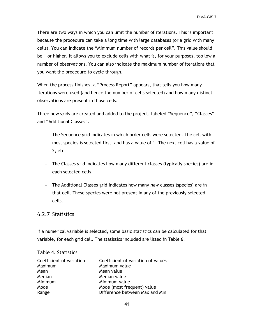There are two ways in which you can limit the number of iterations. This is important because the procedure can take a long time with large databases (or a grid with many cells). You can indicate the "Minimum number of records per cell". This value should be 1 or higher. It allows you to exclude cells with what is, for your purposes, too low a number of observations. You can also indicate the maximum number of iterations that you want the procedure to cycle through.

When the process finishes, a "Process Report" appears, that tells you how many iterations were used (and hence the number of cells selected) and how many distinct observations are present in those cells.

Three new grids are created and added to the project, labeled "Sequence", "Classes" and "Additional Classes".

- The Sequence grid indicates in which order cells were selected. The cell with most species is selected first, and has a value of 1. The next cell has a value of 2, etc.
- The Classes grid indicates how many different classes (typically species) are in each selected cells.
- The Additional Classes grid indicates how many *new* classes (species) are in that cell. These species were not present in any of the previously selected cells.

#### 6.2.7 Statistics

If a numerical variable is selected, some basic statistics can be calculated for that variable, for each grid cell. The statistics included are listed in Table 6.

| Coefficient of variation | Coefficient of variation of values |
|--------------------------|------------------------------------|
| Maximum                  | Maximum value                      |
| Mean                     | Mean value                         |
| Median                   | Median value                       |
| Minimum                  | Minimum value                      |
| Mode                     | Mode (most frequent) value         |
| Range                    | Difference between Max and Min     |

Table 4. Statistics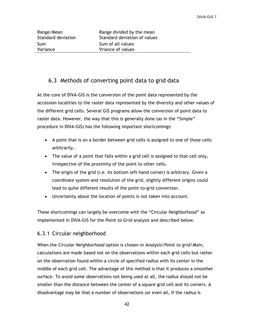Sum Sum of all values

Range/Mean Range divided by the mean Standard deviation Standard deviation of values Variance Vriance of values

# 6.3 Methods of converting point data to grid data

At the core of DIVA-GIS is the conversion of the point data represented by the accession localities to the raster data represented by the diversity and other values of the different grid cells. Several GIS programs allow the conversion of point data to raster data. However, the way that this is generally done (as in the "Simple" procedure in DIVA-GIS) has the following important shortcomings:

- A point that is on a border between grid cells is assigned to one of those cells arbitrarily..
- The value of a point that falls within a grid cell is assigned to that cell only, irrespective of the proximity of the point to other cells.
- The origin of the grid (i.e. its bottom left-hand corner) is arbitrary. Given a coordinate system and resolution of the grid, slightly different origins could lead to quite different results of the point-to-grid conversion.
- Uncertainty about the location of points is not taken into account.

These shortcomings can largely be overcome with the "Circular Neighborhood" as implemented in DIVA-GIS for the *Point to Grid* analysis and described below.

## 6.3.1 Circular neighborhood

When the *Circular Neighborhood* option is chosen in *Analysis/Point to grid/Main*, calculations are made based not on the observations within each grid cells but rather on the observation found within a circle of specified radius with its center in the middle of each grid cell. The advantage of this method is that it produces a smoother surface. To avoid some observations not being used at all, the radius should not be smaller than the distance between the center of a square grid cell and its corners. A disadvantage may be that a number of observations (or even all, if the radius is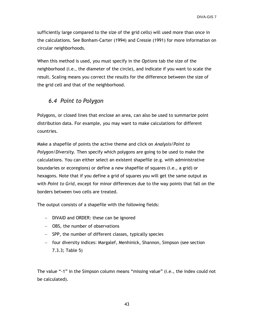sufficiently large compared to the size of the grid cells) will used more than once in the calculations. See Bonham-Carter (1994) and Cressie (1991) for more information on circular neighborhoods.

When this method is used, you must specify in the *Options* tab the size of the neighborhood (i.e., the diameter of the circle), and indicate if you want to scale the result. Scaling means you correct the results for the difference between the size of the grid cell and that of the neighborhood.

# *6.4 Point to Polygon*

Polygons, or closed lines that enclose an area, can also be used to summarize point distribution data. For example, you may want to make calculations for different countries.

Make a shapefile of points the active theme and click on *Analysis/Point to Polygon/Diversity.* Then specify which polygons are going to be used to make the calculations. You can either select an existent shapefile (e.g. with administrative boundaries or ecoregions) or define a new shapefile of squares (i.e., a grid) or hexagons. Note that if you define a grid of squares you will get the same output as with *Point to Grid*, except for minor differences due to the way points that fall on the borders between two cells are treated.

The output consists of a shapefile with the following fields:

- DIVAID and ORDER: these can be ignored
- OBS, the number of observations
- SPP, the number of different classes, typically species
- four diversity indices: Margalef, Menhinick, Shannon, Simpson (see section 7.3.3; Table 5)

The value "-1" in the Simpson column means "missing value" (i.e., the index could not be calculated).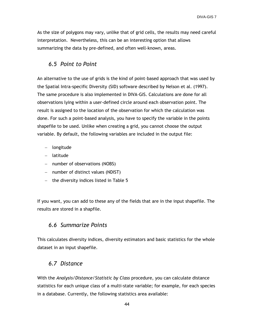As the size of polygons may vary, unlike that of grid cells, the results may need careful interpretation. Nevertheless, this can be an interesting option that allows summarizing the data by pre-defined, and often well-known, areas.

## *6.5 Point to Point*

An alternative to the use of grids is the kind of point–based approach that was used by the Spatial Intra-specific Diversity (SID) software described by Nelson et al. (1997). The same procedure is also implemented in DIVA-GIS. Calculations are done for all observations lying within a user-defined circle around each observation point. The result is assigned to the location of the observation for which the calculation was done. For such a point-based analysis, you have to specify the variable in the points shapefile to be used. Unlike when creating a grid, you cannot choose the output variable. By default, the following variables are included in the output file:

- longitude
- latitude
- number of observations (NOBS)
- $-$  number of distinct values (NDIST)
- $-$  the diversity indices listed in Table 5

If you want, you can add to these any of the fields that are in the input shapefile. The results are stored in a shapfile.

## *6.6 Summarize Points*

This calculates diversity indices, diversity estimators and basic statistics for the whole dataset in an input shapefile.

#### *6.7 Distance*

With the *Analysis/Distance/Statistic by Class* procedure, you can calculate distance statistics for each unique class of a multi-state variable; for example, for each species in a database. Currently, the following statistics area available: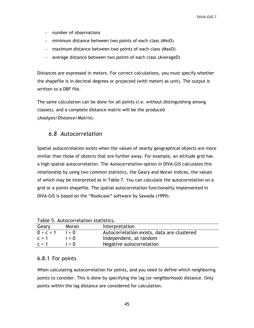- $-$  number of observations
- minimum distance between two points of each class (MinD)
- maximum distance between two points of each class (MaxD)
- average distance between two points of each class (AverageD)

Distances are expressed in meters. For correct calculations, you must specify whether the shapefile is in decimal degrees or projected (with meters as unit). The output is written to a DBF file.

The same calculation can be done for all points (i.e. without distinguishing among classes), and a complete distance matrix will be the produced (*Analysis/Distance/Matrix*).

# *6.8 Autocorrelation*

Spatial autocorrelation exists when the values of nearby geographical objects are more similar than those of objects that are further away. For example, an altitude grid has a high spatial autocorrelation. The *Autocorrelation* option in DIVA-GIS calculates this relationship by using two common statistics, the Geary and Moran indices, the values of which may be interpreted as in Table 7. You can calculate the autocorrelation on a grid or a points shapefile. The spatial autocorrelation functionality implemented in DIVA-GIS is based on the "Rookcase" software by Sawada (1999).

| Table J. Autocorretation statistics. |         |                                            |  |  |
|--------------------------------------|---------|--------------------------------------------|--|--|
| Geary                                | Moran   | Interpretation                             |  |  |
| 0 < c < 1                            | i > 0   | Autocorrelation exists, data are clustered |  |  |
| $c = 1$                              | $i = 0$ | Independent, at random                     |  |  |
| C > 1                                | i < 0   | Negative autocorrelation                   |  |  |

Table 5. Autocorrelation statistics.

#### 6.8.1 For points

When calculating autocorrelation for points, and you need to define which neighboring points to consider. This is done by specifying the lag (or neighborhood) distance. Only points within the lag distance are considered for calculation.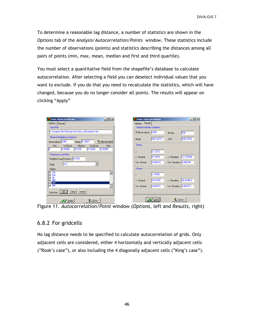To determine a reasonable lag distance, a number of statistics are shown in the *Options* tab of the *Analysis/Autocorrelation/Points* window. These statistics include the number of observations (points) and statistics describing the distances among all pairs of points (min, max, mean, median and first and third quartile).

You must select a quantitative field from the shapefile"s database to calculate autocorrelation. After selecting a field you can deselect individual values that you want to exclude. If you do that you need to recalculate the statistics, which will have changed, because you do no longer consider all points. The results will appear on clicking "Apply"

| Point Autocorrelation                               | $   \times$ $-$ | <b>D</b> Point Autocorrelation    |                |                        | $\Box$ D $\Box$ $\times$ |
|-----------------------------------------------------|-----------------|-----------------------------------|----------------|------------------------|--------------------------|
| Options   Result                                    |                 | Options Result                    |                |                        |                          |
| <b>Input File</b>                                   |                 | <b>Global Summary Statistics:</b> |                |                        |                          |
| c:\program files\diva-gis\tutor\pe_cultsweetpot.shp |                 | # Observations 2206               |                | # Pairs                | 596                      |
| <b>Nearest Neighbour Statistics</b>                 |                 |                                   | 847.42747      |                        |                          |
| Observations 2206<br>Mean 0.10607                   | Becalculate     | Mean                              |                | <b>STD</b>             | 836.29782                |
| 1st Quart.<br>Median<br>3rd Quart.<br>Min.          | Max             | Geary                             |                |                        |                          |
| 0.03606<br>0.0728<br> 0.13928 <br>m                 | 0.92049         | $\mathbb{C}$                      | 0.12512        |                        |                          |
| Parameters and filter                               |                 | z - Normal                        | 9.15514        | z - Random             | 12.134168                |
| Neighbor Lag Distance 0.0728                        |                 | Var. Normal                       | 0.009132       | Var. Random 0.005199   |                          |
| ALT<br>Field:                                       |                 |                                   |                |                        |                          |
| Values:                                             |                 | Moran                             |                |                        |                          |
| $\sqrt{910}$<br>$\boxtimes$ 920                     |                 |                                   | 1.24382        |                        |                          |
| $\triangledown$ 95<br>$\triangledown$ 950           |                 | z - Normal                        | 30.44187       | z - Random             | 30.434622                |
| ■ 965<br>$\sqrt{980}$                               |                 | Var. Normal                       | 0.001671       | Var. Random   0.001671 |                          |
|                                                     |                 |                                   |                |                        |                          |
| $\Box$<br>Clear<br>Invert<br>Selection:             |                 |                                   |                |                        |                          |
| $\Pi$ . Close<br>$\mathcal{L}$ Annie                |                 |                                   | <b>X</b> Apply | <b>Q</b> Close         |                          |

Figure 11. *Autocorrelation/Point* window (*Options*, left and *Results*, right)

#### 6.8.2 For gridcells

No lag distance needs to be specified to calculate autocorrelation of grids. Only adjacent cells are considered, either 4 horizontally and vertically adjacent cells ("Rook"s case"), or also including the 4 diagonally adjacent cells ("King"s case").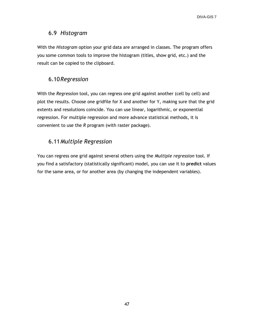## 6.9 *Histogram*

With the *Histogram* option your grid data are arranged in classes. The program offers you some common tools to improve the histogram (titles, show grid, etc.) and the result can be copied to the clipboard.

# 6.10*Regression*

With the *Regression* tool, you can regress one grid against another (cell by cell) and plot the results. Choose one gridfile for X and another for Y, making sure that the grid extents and resolutions coincide. You can use linear, logarithmic, or exponential regression. For multiple regression and more advance statistical methods, it is convenient to use the *R* program (with raster package).

# 6.11*Multiple Regression*

You can regress one grid against several others using the *Multiple regression* tool. If you find a satisfactory (statistically significant) model, you can use it to **predict** values for the same area, or for another area (by changing the independent variables).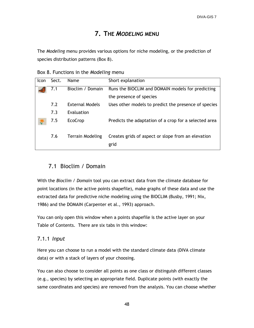# **7. THE** *MODELING* **MENU**

The *Modeling* menu provides various options for niche modeling, or the prediction of species distribution patterns (Box 8).

Box 8. Functions in the *Modeling* menu

| Icon | Sect. | <b>Name</b>            | Short explanation                                          |
|------|-------|------------------------|------------------------------------------------------------|
|      | 7.1   | Bioclim / Domain       | Runs the BIOCLIM and DOMAIN models for predicting          |
|      |       |                        | the presence of species                                    |
|      | 7.2   | <b>External Models</b> | Uses other models to predict the presence of species       |
|      | 7.3   | Evaluation             |                                                            |
|      | 7.5   | <b>EcoCrop</b>         | Predicts the adaptation of a crop for a selected area      |
|      | 7.6   | Terrain Modeling       | Creates grids of aspect or slope from an elevation<br>grid |

# 7.1 Bioclim / Domain

With the *Bioclim / Domain* tool you can extract data from the climate database for point locations (in the active points shapefile), make graphs of these data and use the extracted data for predictive niche modeling using the BIOCLIM (Busby, 1991; Nix, 1986) and the DOMAIN (Carpenter et al., 1993) approach.

You can only open this window when a points shapefile is the active layer on your Table of Contents. There are six tabs in this window:

## 7.1.1 *Input*

Here you can choose to run a model with the standard climate data (DIVA climate data) or with a stack of layers of your choosing.

You can also choose to consider all points as one class or distinguish different classes (e.g., species) by selecting an appropriate field. Duplicate points (with exactly the same coordinates and species) are removed from the analysis. You can choose whether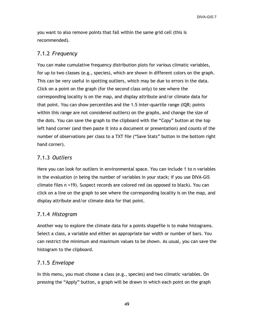you want to also remove points that fall within the same grid cell (this is recommended).

#### 7.1.2 *Frequency*

You can make cumulative frequency distribution plots for various climatic variables, for up to two classes (e.g., species), which are shown in different colors on the graph. This can be very useful in spotting outliers, which may be due to errors in the data. Click on a point on the graph (for the second class only) to see where the corresponding locality is on the map, and display attribute and/or climate data for that point. You can show percentiles and the 1.5 inter-quartile range (IQR; points within this range are not considered outliers) on the graphs, and change the size of the dots. You can save the graph to the clipboard with the "Copy" button at the top left hand corner (and then paste it into a document or presentation) and counts of the number of observations per class to a TXT file ("Save Stats" button in the bottom right hand corner).

# 7.1.3 *Outliers*

Here you can look for outliers in environmental space. You can include 1 to n variables in the evaluation (n being the number of variables in your stack; if you use DIVA-GIS climate files n =19). Suspect records are colored red (as opposed to black). You can click on a line on the graph to see where the corresponding locality is on the map, and display attribute and/or climate data for that point.

#### 7.1.4 *Histogram*

Another way to explore the climate data for a points shapefile is to make histograms. Select a class, a variable and either an appropriate bar width or number of bars. You can restrict the minimum and maximum values to be shown. As usual, you can save the histogram to the clipboard.

## 7.1.5 *Envelope*

In this menu, you must choose a class (e.g., species) and two climatic variables. On pressing the "Apply" button, a graph will be drawn in which each point on the graph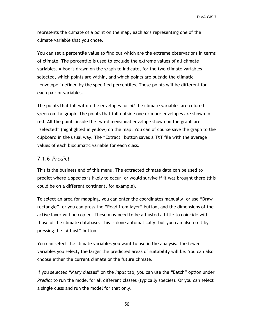represents the climate of a point on the map, each axis representing one of the climate variable that you chose.

You can set a percentile value to find out which are the extreme observations in terms of climate. The percentile is used to exclude the extreme values of all climate variables. A box is drawn on the graph to indicate, for the two climate variables selected, which points are within, and which points are outside the climatic "envelope" defined by the specified percentiles. These points will be different for each pair of variables.

The points that fall within the envelopes for *all* the climate variables are colored green on the graph. The points that fall outside one or more envelopes are shown in red. All the points inside the two-dimensional envelope shown on the graph are "selected" (highlighted in yellow) on the map. You can of course save the graph to the clipboard in the usual way. The "Extract" button saves a TXT file with the average values of each bioclimatic variable for each class.

#### 7.1.6 *Predict*

This is the business end of this menu. The extracted climate data can be used to predict where a species is likely to occur, or would survive if it was brought there (this could be on a different continent, for example).

To select an area for mapping, you can enter the coordinates manually, or use "Draw rectangle", or you can press the "Read from layer" button, and the dimensions of the active layer will be copied. These may need to be adjusted a little to coincide with those of the climate database. This is done automatically, but you can also do it by pressing the "Adjust" button.

You can select the climate variables you want to use in the analysis. The fewer variables you select, the larger the predicted areas of suitability will be. You can also choose either the current climate or the future climate.

If you selected "Many classes" on the *Input* tab, you can use the "Batch" option under *Predict* to run the model for all different classes (typically species). Or you can select a single class and run the model for that only.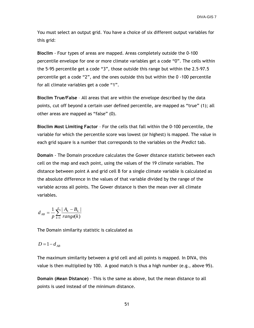You must select an output grid. You have a choice of six different output variables for this grid:

**Bioclim** - Four types of areas are mapped. Areas completely outside the 0-100 percentile envelope for one or more climate variables get a code "0". The cells within the 5-95 percentile get a code "3", those outside this range but within the 2.5-97.5 percentile get a code "2", and the ones outside this but within the 0 -100 percentile for all climate variables get a code "1".

**Bioclim True/False** – All areas that are within the envelope described by the data points, cut off beyond a certain user defined percentile, are mapped as "true" (1); all other areas are mapped as "false" (0).

**Bioclim Most Limiting Factor** – For the cells that fall within the 0-100 percentile, the variable for which the percentile score was lowest (or highest) is mapped. The value in each grid square is a number that corresponds to the variables on the *Predict* tab.

**Domain** - The Domain procedure calculates the Gower distance statistic between each cell on the map and each point, using the values of the 19 climate variables. The distance between point A and grid cell B for a single climate variable is calculated as the absolute difference in the values of that variable divided by the range of the variable across all points. The Gower distance is then the mean over all climate variables.

$$
d_{AB} = \frac{1}{p} \sum_{k=1}^{p} \frac{|A_k - B_k|}{range(k)}
$$

The Domain similarity statistic is calculated as

$$
D=1-d_{AB}
$$

The maximum similarity between a grid cell and all points is mapped. In DIVA, this value is then multiplied by 100. A good match is thus a high number (e.g., above 95).

**Domain (Mean Distance)** - This is the same as above, but the mean distance to all points is used instead of the minimum distance.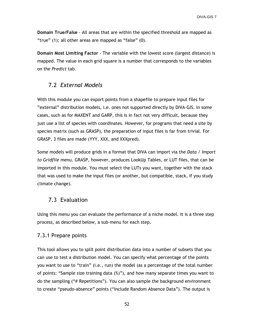**Domain True/False** - All areas that are within the specified threshold are mapped as "true" (1); all other areas are mapped as "false" (0).

**Domain Most Limiting Factor** - The variable with the lowest score (largest distance) is mapped. The value in each grid square is a number that corresponds to the variables on the *Predict* tab.

## 7.2 *External Models*

With this module you can export points from a shapefile to prepare input files for "external" distribution models, i.e. ones not supported directly by DIVA-GIS. In some cases, such as for MAXENT and GARP, this is in fact not very difficult, because they just use a list of species with coordinates. However, for programs that need a site by species matrix (such as GRASP), the preparation of input files is far from trivial. For GRASP, 3 files are made (YYY, XXX, and XXXpred).

Some models will produce grids in a format that DIVA can import via the *Data / Import to Gridfile* menu. GRASP, however, produces LookUp Tables, or LUT files, that can be imported in this module. You must select the LUTs you want, together with the stack that was used to make the input files (or another, but compatible, stack, if you study climate change).

#### 7.3 Evaluation

Using this menu you can evaluate the performance of a niche model. It is a three step process, as described below, a sub-menu for each step.

#### 7.3.1 Prepare points

This tool allows you to split point distribution data into a number of subsets that you can use to test a distribution model. You can specify what percentage of the points you want to use to "train" (i.e., run) the model (as a percentage of the total number of points: "Sample size training data (%)"), and how many separate times you want to do the sampling ("# Repetitions"). You can also sample the background environment to create "pseudo-absence" points ("Include Random Absence Data"). The output is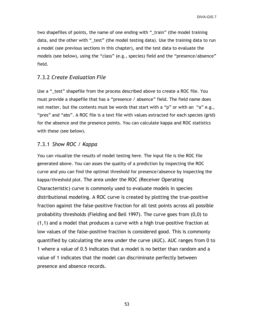two shapefiles of points, the name of one ending with "\_train" (the model training data, and the other with "\_test" (the model testing data). Use the training data to run a model (see previous sections in this chapter), and the test data to evaluate the models (see below), using the "class" (e.g., species) field and the "presence/absence" field.

#### 7.3.2 *Create Evaluation File*

Use a "\_test" shapefile from the process described above to create a ROC file. You must provide a shapefile that has a "presence / absence" field. The field name does not matter, but the contents must be words that start with a "p" or with an "a" e.g., "pres" and "abs". A ROC file is a text file with values extracted for each species (grid) for the absence and the presence points. You can calculate kappa and ROC statistics with these (see below).

#### 7.3.1 *Show ROC / Kappa*

You can visualize the results of model testing here. The input file is the ROC file generated above. You can asses the quality of a prediction by inspecting the ROC curve and you can find the optimal threshold for presence/absence by inspecting the kappa/threshold plot. The area under the ROC (Receiver Operating Characteristic) curve is commonly used to evaluate models in species distributional modeling. A ROC curve is created by plotting the true-positive fraction against the false-positive fraction for all test points across all possible probability thresholds (Fielding and Bell 1997). The curve goes from (0,0) to (1,1) and a model that produces a curve with a high true-positive fraction at low values of the false-positive fraction is considered good. This is commonly quantified by calculating the area under the curve (AUC). AUC ranges from 0 to 1 where a value of 0.5 indicates that a model is no better than random and a value of 1 indicates that the model can discriminate perfectly between presence and absence records.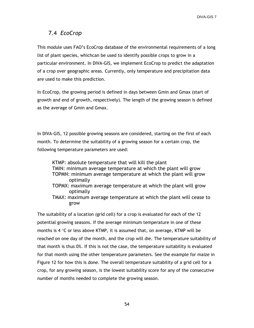# 7.4 *EcoCrop*

This module uses FAO"s EcoCrop database of the environmental requirements of a long list of plant species, whichcan be used to identify possible crops to grow in a particular environment. In DIVA-GIS, we implement EcoCrop to predict the adaptation of a crop over geographic areas. Currently, only temperature and precipitation data are used to make this prediction.

In EcoCrop, the growing period is defined in days between Gmin and Gmax (start of growth and end of growth, respectively). The length of the growing season is defined as the average of Gmin and Gmax.

In DIVA-GIS, 12 possible growing seasons are considered, starting on the first of each month. To determine the suitability of a growing season for a certain crop, the following temperature parameters are used:

KTMP: absolute temperature that will kill the plant TMIN: minimum average temperature at which the plant will grow TOPMN: minimum average temperature at which the plant will grow optimally TOPMX: maximum average temperature at which the plant will grow optimally

TMAX: maximum average temperature at which the plant will cease to grow

The suitability of a location (grid cell) for a crop is evaluated for each of the 12 potential growing seasons. If the average minimum temperature in one of these months is 4  $\degree$ C or less above KTMP, it is assumed that, on average, KTMP will be reached on one day of the month, and the crop will die. The temperature suitability of that month is thus 0%. If this is not the case, the temperature suitability is evaluated for that month using the other temperature parameters. See the example for maize in Figure 12 for how this is done. The overall temperature suitability of a grid cell for a crop, for any growing season, is the lowest suitability score for any of the consecutive number of months needed to complete the growing season.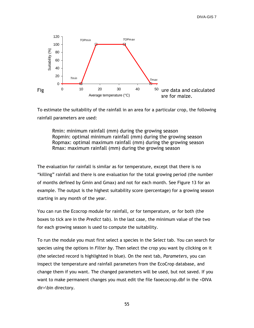

To estimate the suitability of the rainfall in an area for a particular crop, the following rainfall parameters are used:

Rmin: minimum rainfall (mm) during the growing season Ropmin: optimal minimum rainfall (mm) during the growing season Ropmax: optimal maximum rainfall (mm) during the growing season Rmax: maximum rainfall (mm) during the growing season

The evaluation for rainfall is similar as for temperature, except that there is no "killing" rainfall and there is one evaluation for the total growing period (the number of months defined by Gmin and Gmax) and not for each month. See Figure 13 for an example. The output is the highest suitability score (percentage) for a growing season starting in any month of the year.

You can run the Ecocrop module for rainfall, or for temperature, or for both (the boxes to tick are in the *Predict* tab). In the last case, the minimum value of the two for each growing season is used to compute the suitability.

To run the module you must first select a species in the *Select* tab. You can search for species using the options in *Filter by*. Then select the crop you want by clicking on it (the selected record is highlighted in blue). On the next tab, *Parameters*, you can inspect the temperature and rainfall parameters from the EcoCrop database, and change them if you want. The changed parameters will be used, but not saved. If you want to make permanent changes you must edit the file faoecocrop.dbf in the <DIVA dir>\bin directory.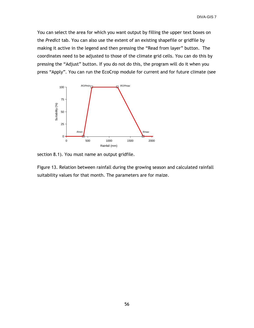You can select the area for which you want output by filling the upper text boxes on the *Predict* tab. You can also use the extent of an existing shapefile or gridfile by making it active in the legend and then pressing the "Read from layer" button. The coordinates need to be adjusted to those of the climate grid cells. You can do this by pressing the "Adjust" button. If you do not do this, the program will do it when you press "Apply". You can run the EcoCrop module for current and for future climate (see



section 8.1). You must name an output gridfile.

Figure 13. Relation between rainfall during the growing season and calculated rainfall suitability values for that month. The parameters are for maize.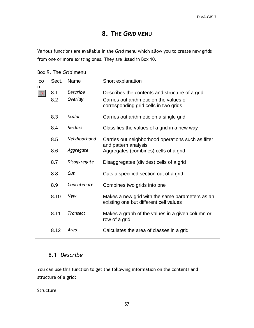# **8. THE** *GRID* **MENU**

Various functions are available in the *Grid* menu which allow you to create new grids from one or more existing ones. They are listed in Box 10.

Box 9. The *Grid* menu

| Ico<br>n | Sect. | Name            | Short explanation                                                                         |
|----------|-------|-----------------|-------------------------------------------------------------------------------------------|
| 꾞        | 8.1   | <b>Describe</b> | Describes the contents and structure of a grid                                            |
|          | 8.2   | Overlay         | Carries out arithmetic on the values of<br>corresponding grid cells in two grids          |
|          | 8.3   | Scalar          | Carries out arithmetic on a single grid                                                   |
|          | 8.4   | Reclass         | Classifies the values of a grid in a new way                                              |
|          | 8.5   | Neighborhood    | Carries out neighborhood operations such as filter<br>and pattern analysis                |
|          | 8.6   | Aggregate       | Aggregates (combines) cells of a grid                                                     |
|          | 8.7   | Disaggregate    | Disaggregates (divides) cells of a grid                                                   |
|          | 8.8   | Cut             | Cuts a specified section out of a grid                                                    |
|          | 8.9   | Concatenate     | Combines two grids into one                                                               |
|          | 8.10  | <b>New</b>      | Makes a new grid with the same parameters as an<br>existing one but different cell values |
|          | 8.11  | Transect        | Makes a graph of the values in a given column or<br>row of a grid                         |
|          | 8.12  | Area            | Calculates the area of classes in a grid                                                  |

# 8.1 *Describe*

You can use this function to get the following information on the contents and structure of a grid:

**Structure**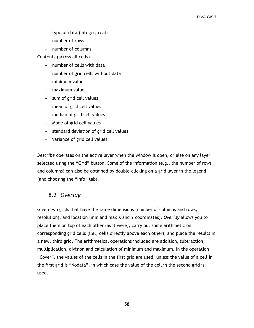- $-$  type of data (integer, real)
- number of rows
- $-$  number of columns

Contents (across all cells)

- $-$  number of cells with data
- $-$  number of grid cells without data
- minimum value
- maximum value
- sum of grid cell values
- mean of grid cell values
- median of grid cell values
- Mode of grid cell values
- $-$  standard deviation of grid cell values
- variance of grid cell values

*Describe* operates on the active layer when the window is open, or else on any layer selected using the "Grid" button. Some of the information (e.g., the number of rows and columns) can also be obtained by double-clicking on a grid layer in the legend (and choosing the "Info" tab).

## 8.2 *Overlay*

Given two grids that have the same dimensions (number of columns and rows, resolution), and location (min and max X and Y coordinates), *Overlay* allows you to place them on top of each other (as it were), carry out some arithmetic on corresponding grid cells (i.e., cells directly above each other), and place the results in a new, third grid. The arithmetical operations included are addition, subtraction, multiplication, division and calculation of minimum and maximum. In the operation "Cover", the values of the cells in the first grid are used, unless the value of a cell in the first grid is "Nodata", in which case the value of the cell in the second grid is used.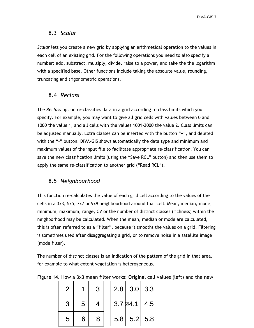#### 8.3 *Scalar*

*Scalar* lets you create a new grid by applying an arithmetical operation to the values in each cell of an existing grid. For the following operations you need to also specify a number: add, substract, multiply, divide, raise to a power, and take the the logarithm with a specified base. Other functions include taking the absolute value, rounding, truncating and trigonometric operations.

## 8.4 *Reclass*

The *Reclass* option re-classifies data in a grid according to class limits which you specify. For example, you may want to give all grid cells with values between 0 and 1000 the value 1, and all cells with the values 1001-2000 the value 2. Class limits can be adjusted manually. Extra classes can be inserted with the button "+", and deleted with the "-" button. DIVA-GIS shows automatically the data type and minimum and maximum values of the input file to facilitate appropriate re-classification. You can save the new classification limits (using the "Save RCL" button) and then use them to apply the same re-classification to another grid ("Read RCL").

## 8.5 *Neighbourhood*

This function re-calculates the value of each grid cell according to the values of the cells in a 3x3, 5x5, 7x7 or 9x9 neighbourhood around that cell. Mean, median, mode, minimum, maximum, range, CV or the number of distinct classes (richness) within the neighborhood may be calculated. When the mean, median or mode are calculated, this is often referred to as a "filter", because it smooths the values on a grid. Filtering is sometimes used after disaggregating a grid, or to remove noise in a satellite image (mode filter).

The number of distinct classes is an indication of the pattern of the grid in that area, for example to what extent vegetation is heterogeneous.

| 2 |    | 3 |  | $2.8$   3.0   3.3       |  |
|---|----|---|--|-------------------------|--|
| 3 | 5  |   |  | $3.7\frac{1}{9}4.1$ 4.5 |  |
| 5 | 6. | 8 |  | $5.8$ 5.2 5.8           |  |

Figure 14. How a 3x3 mean filter works: Original cell values (left) and the new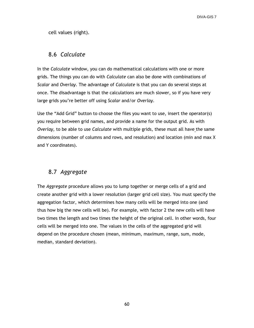cell values (right).

#### 8.6 *Calculate*

In the *Calculate* window, you can do mathematical calculations with one or more grids. The things you can do with *Calculate* can also be done with combinations of *Scalar* and *Overlay*. The advantage of *Calculate* is that you can do several steps at once. The disadvantage is that the calculations are much slower, so if you have very large grids you"re better off using *Scalar* and/or *Overlay*.

Use the "Add Grid" button to choose the files you want to use, insert the operator(s) you require between grid names, and provide a name for the output grid. As with *Overlay*, to be able to use *Calculate* with multiple grids, these must all have the same dimensions (number of columns and rows, and resolution) and location (min and max X and Y coordinates).

# 8.7 *Aggregate*

The *Aggregate* procedure allows you to lump together or merge cells of a grid and create another grid with a lower resolution (larger grid cell size). You must specify the aggregation factor, which determines how many cells will be merged into one (and thus how big the new cells will be). For example, with factor 2 the new cells will have two times the length and two times the height of the original cell. In other words, four cells will be merged into one. The values in the cells of the aggregated grid will depend on the procedure chosen (mean, minimum, maximum, range, sum, mode, median, standard deviation).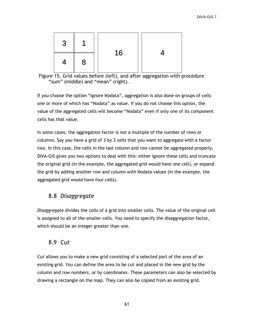| $\mathbf{3}$ |   | 16 |  |
|--------------|---|----|--|
| Δ.           | 8 |    |  |

Figure 15. Grid values before (left), and after aggregation with procedure "sum" (middle) and "mean" (right).

If you choose the option "Ignore Nodata", aggregation is also done on groups of cells one or more of which has "Nodata" as value. If you do not choose this option, the value of the aggregated cells will become "Nodata" even if only one of its component cells has that value.

In some cases, the aggregation factor is not a multiple of the number of rows or columns. Say you have a grid of 3 by 3 cells that you want to aggregate with a factor two. In this case, the cells in the last column and row cannot be aggregated properly. DIVA-GIS gives you two options to deal with this: either ignore these cells and truncate the original grid (in the example, the aggregated grid would have one cell), or expand the grid by adding another row and column with Nodata values (in the example, the aggregated grid would have four cells).

# 8.8 *Disaggregate*

*Disaggregate* divides the cells of a grid into smaller cells. The value of the original cell is assigned to all of the smaller cells. You need to specify the disaggregation factor, which should be an integer greater than one.

## 8.9 *Cut*

*Cut* allows you to make a new grid consisting of a selected part of the area of an existing grid. You can define the area to be cut and placed in the new grid by the column and row numbers, or by coordinates. These parameters can also be selected by drawing a rectangle on the map. They can also be copied from an existing grid.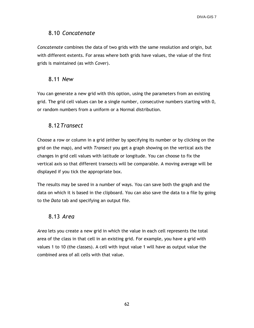# 8.10 *Concatenate*

*Concatenate* combines the data of two grids with the same resolution and origin, but with different extents. For areas where both grids have values, the value of the first grids is maintained (as with *Cover*).

## 8.11 *New*

You can generate a new grid with this option, using the parameters from an existing grid. The grid cell values can be a single number, consecutive numbers starting with 0, or random numbers from a uniform or a Normal distribution.

# 8.12*Transect*

Choose a row or column in a grid (either by specifying its number or by clicking on the grid on the map), and with *Transect* you get a graph showing on the vertical axis the changes in grid cell values with latitude or longitude. You can choose to fix the vertical axis so that different transects will be comparable. A moving average will be displayed if you tick the appropriate box.

The results may be saved in a number of ways. You can save both the graph and the data on which it is based in the clipboard. You can also save the data to a file by going to the *Data* tab and specifying an output file.

## 8.13 *Area*

*Area* lets you create a new grid in which the value in each cell represents the total area of the class in that cell in an existing grid. For example, you have a grid with values 1 to 10 (the classes). A cell with input value 1 will have as output value the combined area of all cells with that value.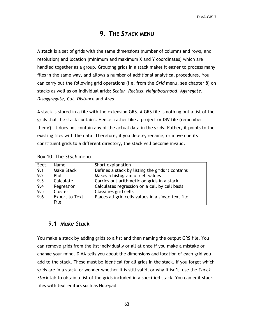# **9. THE** *STACK* **MENU**

A **stack** is a set of grids with the same dimensions (number of columns and rows, and resolution) and location (minimum and maximum X and Y coordinates) which are handled together as a group. Grouping grids in a stack makes it easier to process many files in the same way, and allows a number of additional analytical procedures. You can carry out the following grid operations (i.e. from the *Grid* menu, see chapter 8) on stacks as well as on individual grids: *Scalar*, *Reclass*, *Neighbourhood*, *Aggregate*, *Disaggregate*, *Cut*, *Distance* and *Area*.

A stack is stored in a file with the extension GRS. A GRS file is nothing but a list of the grids that the stack contains. Hence, rather like a project or DIV file (remember them?), it does not contain any of the actual data in the grids. Rather, it points to the existing files with the data. Therefore, if you delete, rename, or move one its constituent grids to a different directory, the stack will become invalid.

| Sect. | Name                  | Short explanation                                  |
|-------|-----------------------|----------------------------------------------------|
| 9.1   | Make Stack            | Defines a stack by listing the grids it contains   |
| 9.2   | <b>Plot</b>           | Makes a histogram of cell values                   |
| 9.3   | Calculate             | Carries out arithmetic on grids in a stack         |
| 9.4   | Regression            | Calculates regression on a cell by cell basis      |
| 9.5   | Cluster               | Classifies grid cells                              |
| 9.6   | <b>Export to Text</b> | Places all grid cells values in a single text file |
|       | File                  |                                                    |

| Box 10. The Stack menu |  |  |  |
|------------------------|--|--|--|
|------------------------|--|--|--|

#### 9.1 *Make Stack*

You make a stack by adding grids to a list and then naming the output GRS file. You can remove grids from the list individually or all at once if you make a mistake or change your mind. DIVA tells you about the dimensions and location of each grid you add to the stack. These must be identical for all grids in the stack. If you forget which grids are in a stack, or wonder whether it is still valid, or why it isn"t, use the *Check Stack* tab to obtain a list of the grids included in a specified stack. You can edit stack files with text editors such as Notepad.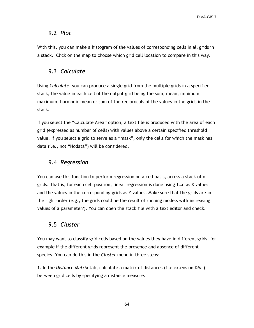## 9.2 *Plot*

With this, you can make a histogram of the values of corresponding cells in all grids in a stack. Click on the map to choose which grid cell location to compare in this way.

# 9.3 *Calculate*

Using *Calculate*, you can produce a single grid from the multiple grids in a specified stack, the value in each cell of the output grid being the sum, mean, minimum, maximum, harmonic mean or sum of the reciprocals of the values in the grids in the stack.

If you select the "Calculate Area" option, a text file is produced with the area of each grid (expressed as number of cells) with values above a certain specified threshold value. If you select a grid to serve as a "mask", only the cells for which the mask has data (i.e., not "Nodata") will be considered.

# 9.4 *Regression*

You can use this function to perform regression on a cell basis, across a stack of n grids. That is, for each cell position, linear regression is done using 1…n as X values and the values in the corresponding grids as Y values. Make sure that the grids are in the right order (e.g., the grids could be the result of running models with increasing values of a parameter?). You can open the stack file with a text editor and check.

# 9.5 *Cluster*

You may want to classify grid cells based on the values they have in different grids, for example if the different grids represent the presence and absence of different species. You can do this in the *Cluster* menu in three steps:

1. In the *Distance Matrix* tab, calculate a matrix of distances (file extension DMT) between grid cells by specifying a distance measure.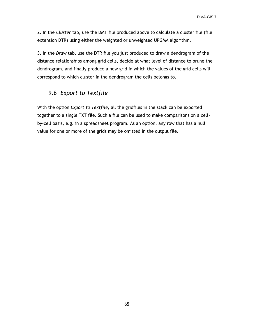2. In the *Cluster* tab, use the DMT file produced above to calculate a cluster file (file extension DTR) using either the weighted or unweighted UPGMA algorithm.

3. In the *Draw* tab, use the DTR file you just produced to draw a dendrogram of the distance relationships among grid cells, decide at what level of distance to prune the dendrogram, and finally produce a new grid in which the values of the grid cells will correspond to which cluster in the dendrogram the cells belongs to.

# 9.6 *Export to Textfile*

With the option *Export to Textfile,* all the gridfiles in the stack can be exported together to a single TXT file. Such a file can be used to make comparisons on a cellby-cell basis, e.g. in a spreadsheet program. As an option, any row that has a null value for one or more of the grids may be omitted in the output file.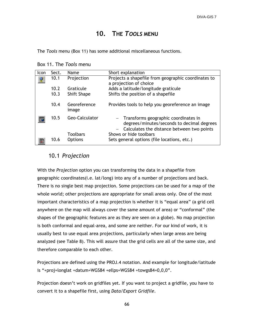# **10. THE** *TOOLS* **MENU**

The *Tools* menu (Box 11) has some additional miscellaneous functions.

| Icon | Sect. | <b>Name</b>                       | Short explanation                                                                                                                    |  |
|------|-------|-----------------------------------|--------------------------------------------------------------------------------------------------------------------------------------|--|
|      | 10.1  | Projection                        | Projects a shapefile from geographic coordinates to<br>a projection of choice                                                        |  |
|      | 10.2  | Graticule                         | Adds a latitude/longitude graticule                                                                                                  |  |
|      | 10.3  | Shift Shape                       | Shifts the position of a shapefile                                                                                                   |  |
|      | 10.4  | Georeference<br>image             | Provides tools to help you georeference an image                                                                                     |  |
|      | 10.5  | Geo-Calculator                    | $-$ Transforms geographic coordinates in<br>degrees/minutes/seconds to decimal degrees<br>Calculates the distance between two points |  |
|      | 10.6  | <b>Toolbars</b><br><b>Options</b> | Shows or hide toolbars<br>Sets general options (file locations, etc.)                                                                |  |

Box 11. The *Tools* menu

# 10.1 *Projection*

With the *Projection* option you can transforming the data in a shapefile from geographic coordinates(i.e. lat/long) into any of a number of projections and back. There is no single best map projection. Some projections can be used for a map of the whole world; other projections are appropriate for small areas only. One of the most important characteristics of a map projection is whether it is "equal area" (a grid cell anywhere on the map will always cover the same amount of area) or "conformal" (the shapes of the geographic features are as they are seen on a globe). No map projection is both conformal and equal-area, and some are neither. For our kind of work, it is usually best to use equal area projections, particularly when large areas are being analyzed (see Table 8). This will assure that the grid cells are all of the same size, and therefore comparable to each other.

Projections are defined using the PROJ.4 notation. And example for longitude/latitude is "+proj=longlat +datum=WGS84 +ellps=WGS84 +towgs84=0,0,0".

Projection doesn't work on gridfiles yet. If you want to project a gridfile, you have to convert it to a shapefile first, using *Data/Export Gridfile*.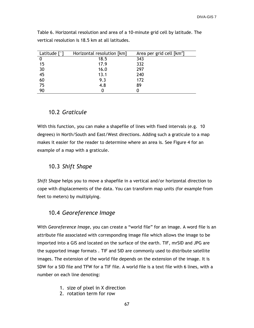| Latitude $\lceil \degree \rceil$ | Horizontal resolution [km] | Area per grid cell [km <sup>2</sup> ] |
|----------------------------------|----------------------------|---------------------------------------|
|                                  | 18.5                       | 343                                   |
| 15                               | 17.9                       | 332                                   |
| 30                               | 16.0                       | 297                                   |
| 45                               | 13.1                       | 240                                   |
| 60                               | 9.3                        | 172                                   |
| 75                               | 4.8                        | 89                                    |
|                                  |                            |                                       |

Table 6. Horizontal resolution and area of a 10-minute grid cell by latitude. The vertical resolution is 18.5 km at all latitudes.

# 10.2 *Graticule*

With this function, you can make a shapefile of lines with fixed intervals (e.g. 10 degrees) in North/South and East/West directions. Adding such a graticule to a map makes it easier for the reader to determine where an area is. See Figure 4 for an example of a map with a graticule.

## 10.3 *Shift Shape*

*Shift Shape* helps you to move a shapefile in a vertical and/or horizontal direction to cope with displacements of the data. You can transform map units (for example from feet to meters) by multiplying.

## 10.4 *Georeference Image*

With *Georeference Image,* you can create a "world file" for an image. A word file is an attribute file associated with corresponding image file which allows the image to be imported into a GIS and located on the surface of the earth. TIF, mrSID and JPG are the supported image formats . TIF and SID are commonly used to distribute satellite images. The extension of the world file depends on the extension of the image. It is SDW for a SID file and TFW for a TIF file. A world file is a text file with 6 lines, with a number on each line denoting:

- 1. size of pixel in X direction
- 2. rotation term for row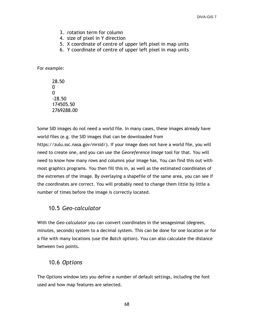- 3. rotation term for column
- 4. size of pixel in Y direction
- 5. X coordinate of centre of upper left pixel in map units
- 6. Y coordinate of centre of upper left pixel in map units

For example:

28.50  $\Omega$  $\Omega$ -28.50 174505.50 2769288.00

Some SID images do not need a world file. In many cases, these images already have world files (e.g. the SID images that can be downloaded from https://zulu.ssc.nasa.gov/mrsid/). If your image does not have a world file, you will need to create one, and you can use the *Georeference Image* tool for that. You will need to know how many rows and columns your image has. You can find this out with most graphics programs. You then fill this in, as well as the estimated coordinates of the extremes of the image. By overlaying a shapefile of the same area, you can see if the coordinates are correct. You will probably need to change them little by little a number of times before the image is correctly located.

### 10.5 *Geo-calculator*

With the *Geo-calculator* you can convert coordinates in the sexagesimal (degrees, minutes, seconds) system to a decimal system. This can be done for one location or for a file with many locations (use the *Batch* option). You can also calculate the distance between two points.

## 10.6 *Options*

The O*ptions* window lets you define a number of default settings, including the font used and how map features are selected.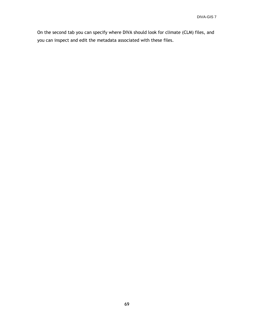On the second tab you can specify where DIVA should look for climate (CLM) files, and you can inspect and edit the metadata associated with these files.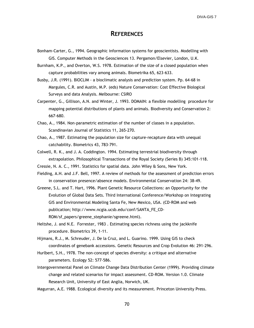#### **REFERENCES**

Bonham-Carter, G., 1994. Geographic information systems for geoscientists. Modelling with GIS. Computer Methods in the Geosciences 13. Pergamon/Elsevier, London, U.K.

Burnham, K.P., and Overton, W.S. 1978. Estimation of the size of a closed population when capture probabilities vary among animals. Biometrika 65, 623-633.

- Busby, J.R. (1991). BIOCLIM a bioclimatic analysis and prediction system. Pp. 64-68 in Margules, C.R. and Austin, M.P. (eds) Nature Conservation: Cost Effective Biological Surveys and data Analysis. Melbourne: CSIRO
- Carpenter, G., Gillison, A.N. and Winter, J. 1993. DOMAIN: a flexible modelling procedure for mapping potential distributions of plants and animals. Biodiversity and Conservation 2: 667-680.
- Chao, A., 1984. Non-parametric estimation of the number of classes in a population. Scandinavian Journal of Statistics 11, 265-270.
- Chao, A., 1987. Estimating the population size for capture-recapture data with unequal catchability. Biometrics 43, 783-791.
- Colwell, R. K., and J. A. Coddington. 1994. Estimating terrestrial biodiversity through extrapolation. Philosophical Transactions of the Royal Society (Series B) 345:101-118.
- Cressie, N. A. C., 1991. Statistics for spatial data. John Wiley & Sons, New York.
- Fielding, A.H. and J.F. Bell, 1997. A review of methods for the assessment of prediction errors in conservation presence/absence models. Environmental Conservation 24: 38-49.
- Greene, S.L. and T. Hart, 1996. Plant Genetic Resource Collections: an Opportunity for the Evolution of Global Data Sets. Third International Conference/Workshop on Integrating GIS and Environmental Modeling Santa Fe, New Mexico, USA. (CD-ROM and web publication; http://www.ncgia.ucsb.edu/conf/SANTA\_FE\_CD-ROM/sf\_papers/greene\_stephanie/sgreene.html).
- Heltshe, J. and N.E. Forrester, 1983 . Estimating species richness using the jackknife procedure. Biometrics 39, 1-11.
- Hijmans, R.J., M. Schreuder, J. De la Cruz, and L. Guarino. 1999. Using GIS to check coordinates of genebank accessions. Genetic Resources and Crop Evolution 46: 291-296.
- Hurlbert, S.H., 1978. The non-concept of species diversity: a critique and alternative parameters. Ecology 52: 577-586.
- Intergovernmental Panel on Climate Change Data Distribution Center (1999). Providing climate change and related scenarios for impact assessment. CD-ROM. Version 1.0. Climate Research Unit, University of East Anglia, Norwich, UK.
- Magurran, A.E. 1988. Ecological diversity and its measurement. Princeton University Press.